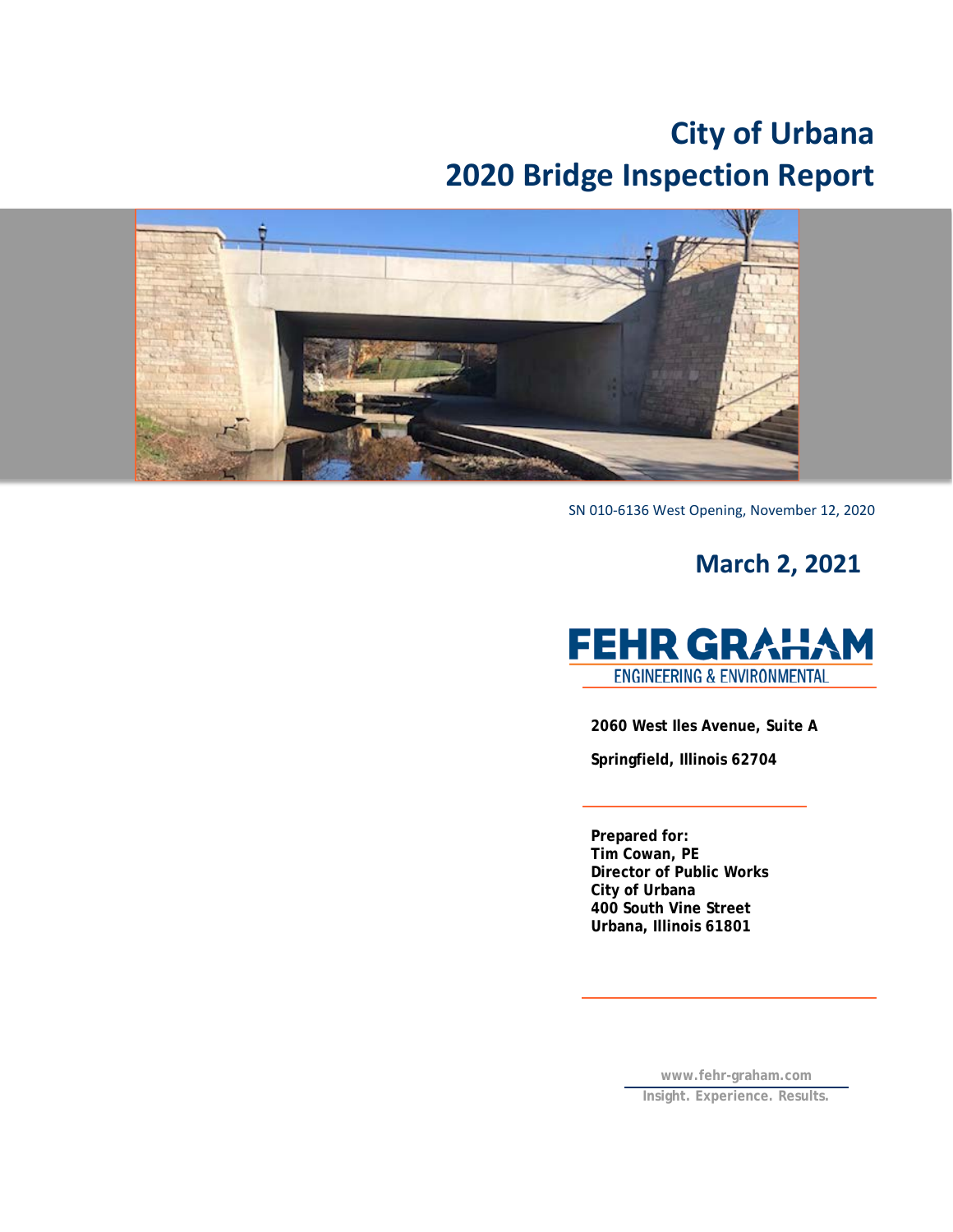# **City of Urbana 2020 Bridge Inspection Report**



SN 010-6136 West Opening, November 12, 2020

## **March 2, 2021**



**2060 West Iles Avenue, Suite A**

**Springfield, Illinois 62704**

**Prepared for: Tim Cowan, PE Director of Public Works City of Urbana 400 South Vine Street Urbana, Illinois 61801**

> **[www.fehr-graham.com](http://www.fehr-graham.com/) Insight. Experience. Results.**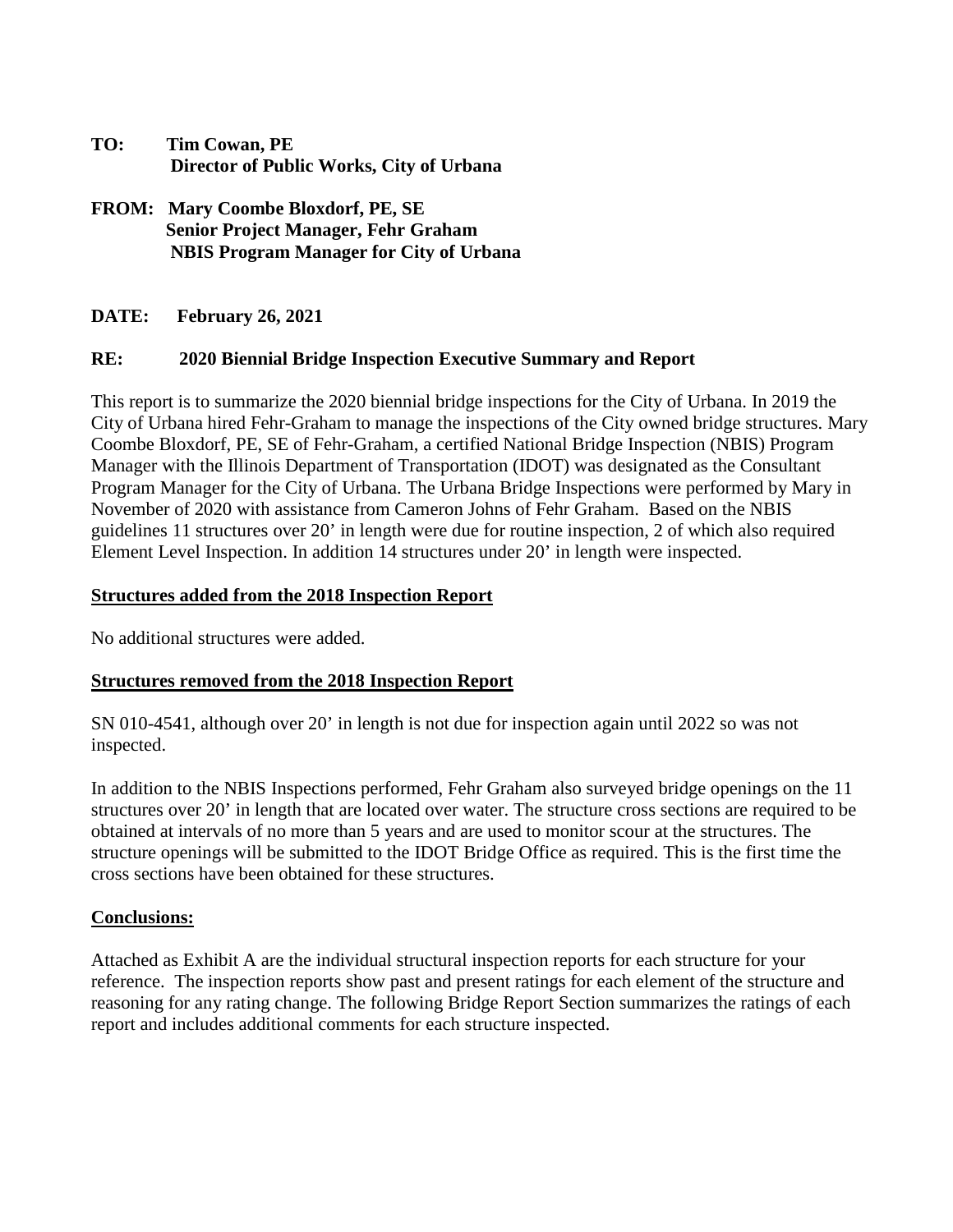| TO: | Tim Cowan, PE                            |
|-----|------------------------------------------|
|     | Director of Public Works, City of Urbana |

**FROM: Mary Coombe Bloxdorf, PE, SE Senior Project Manager, Fehr Graham NBIS Program Manager for City of Urbana**

**DATE: February 26, 2021** 

## **RE: 2020 Biennial Bridge Inspection Executive Summary and Report**

This report is to summarize the 2020 biennial bridge inspections for the City of Urbana. In 2019 the City of Urbana hired Fehr-Graham to manage the inspections of the City owned bridge structures. Mary Coombe Bloxdorf, PE, SE of Fehr-Graham, a certified National Bridge Inspection (NBIS) Program Manager with the Illinois Department of Transportation (IDOT) was designated as the Consultant Program Manager for the City of Urbana. The Urbana Bridge Inspections were performed by Mary in November of 2020 with assistance from Cameron Johns of Fehr Graham. Based on the NBIS guidelines 11 structures over 20' in length were due for routine inspection, 2 of which also required Element Level Inspection. In addition 14 structures under 20' in length were inspected.

## **Structures added from the 2018 Inspection Report**

No additional structures were added.

## **Structures removed from the 2018 Inspection Report**

SN 010-4541, although over 20' in length is not due for inspection again until 2022 so was not inspected.

In addition to the NBIS Inspections performed, Fehr Graham also surveyed bridge openings on the 11 structures over 20' in length that are located over water. The structure cross sections are required to be obtained at intervals of no more than 5 years and are used to monitor scour at the structures. The structure openings will be submitted to the IDOT Bridge Office as required. This is the first time the cross sections have been obtained for these structures.

#### **Conclusions:**

Attached as Exhibit A are the individual structural inspection reports for each structure for your reference. The inspection reports show past and present ratings for each element of the structure and reasoning for any rating change. The following Bridge Report Section summarizes the ratings of each report and includes additional comments for each structure inspected.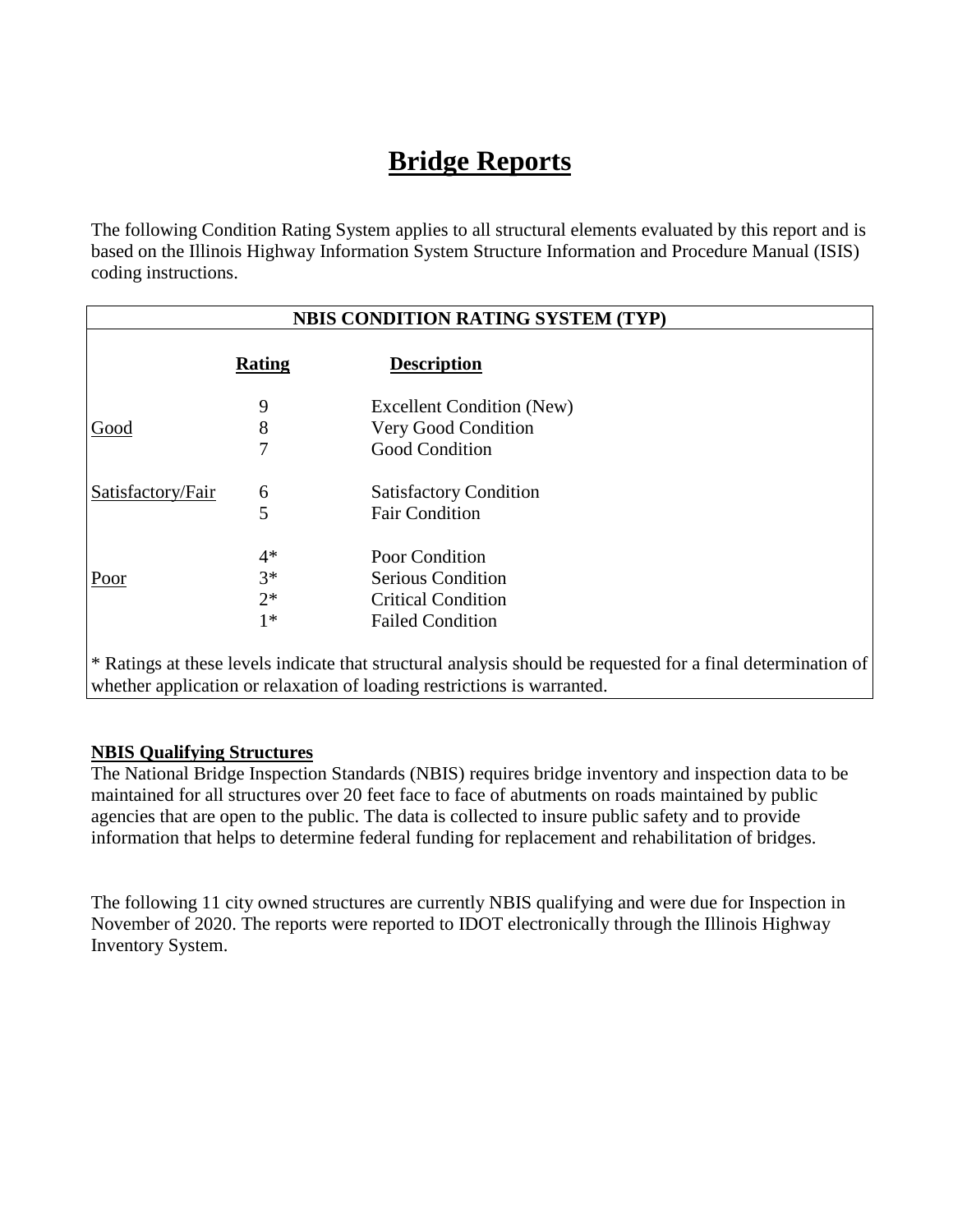## **Bridge Reports**

The following Condition Rating System applies to all structural elements evaluated by this report and is based on the Illinois Highway Information System Structure Information and Procedure Manual (ISIS) coding instructions.

|                   | <b>NBIS CONDITION RATING SYSTEM (TYP)</b> |                                                                                                                                                                                         |  |  |  |
|-------------------|-------------------------------------------|-----------------------------------------------------------------------------------------------------------------------------------------------------------------------------------------|--|--|--|
|                   | <b>Rating</b>                             | <b>Description</b>                                                                                                                                                                      |  |  |  |
|                   | 9                                         | <b>Excellent Condition (New)</b>                                                                                                                                                        |  |  |  |
| Good              | 8                                         | Very Good Condition                                                                                                                                                                     |  |  |  |
|                   | 7                                         | <b>Good Condition</b>                                                                                                                                                                   |  |  |  |
| Satisfactory/Fair | 6                                         | <b>Satisfactory Condition</b>                                                                                                                                                           |  |  |  |
|                   | 5                                         | <b>Fair Condition</b>                                                                                                                                                                   |  |  |  |
|                   | $4*$                                      | Poor Condition                                                                                                                                                                          |  |  |  |
| Poor              | $3*$                                      | <b>Serious Condition</b>                                                                                                                                                                |  |  |  |
|                   | $2*$                                      | <b>Critical Condition</b>                                                                                                                                                               |  |  |  |
|                   | $1*$                                      | <b>Failed Condition</b>                                                                                                                                                                 |  |  |  |
|                   |                                           | * Ratings at these levels indicate that structural analysis should be requested for a final determination of<br>whether application or relaxation of loading restrictions is warranted. |  |  |  |

## **NBIS Qualifying Structures**

The National Bridge Inspection Standards (NBIS) requires bridge inventory and inspection data to be maintained for all structures over 20 feet face to face of abutments on roads maintained by public agencies that are open to the public. The data is collected to insure public safety and to provide information that helps to determine federal funding for replacement and rehabilitation of bridges.

The following 11 city owned structures are currently NBIS qualifying and were due for Inspection in November of 2020. The reports were reported to IDOT electronically through the Illinois Highway Inventory System.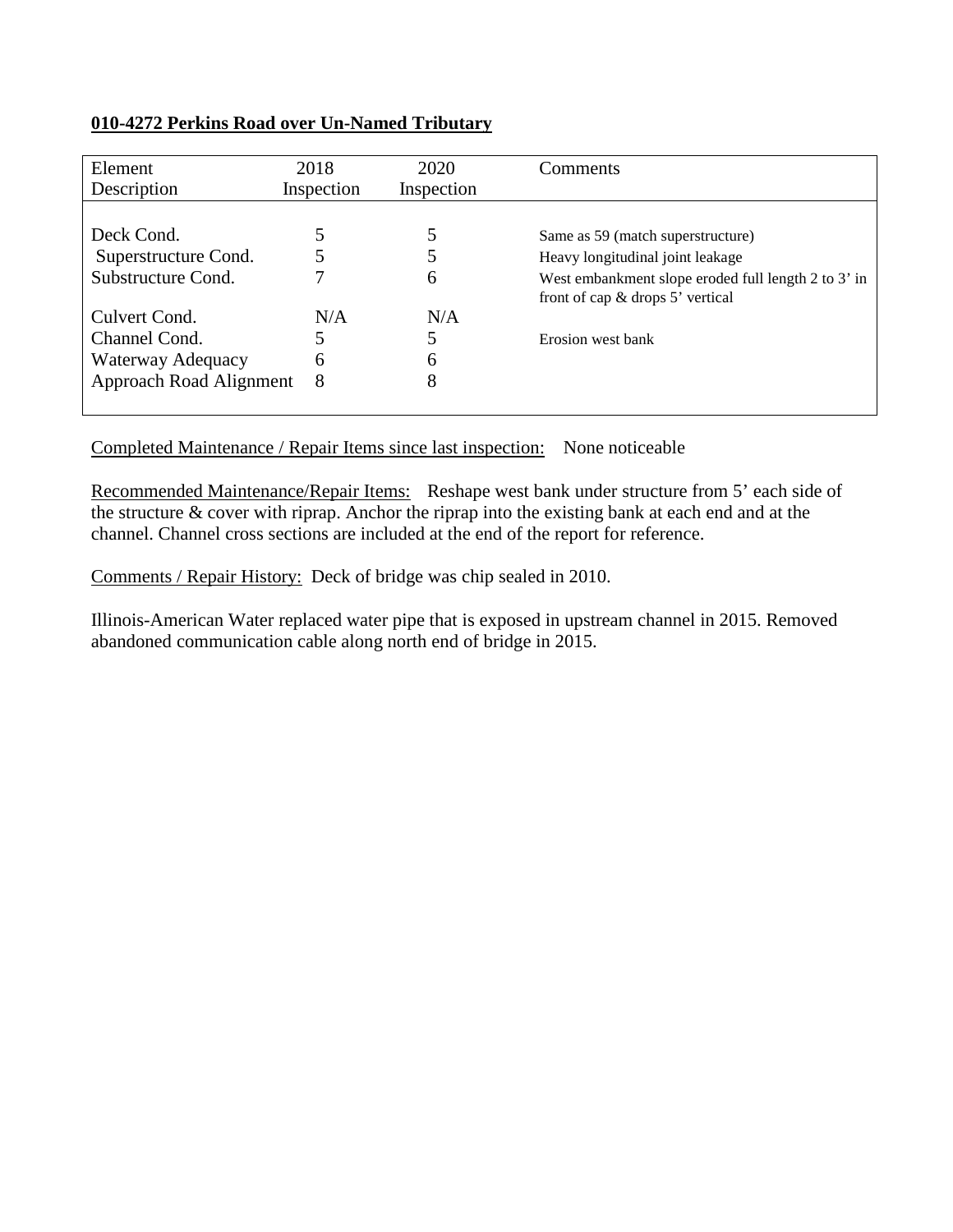## **010-4272 Perkins Road over Un-Named Tributary**

| Element                 | 2018       | 2020       | Comments                                            |
|-------------------------|------------|------------|-----------------------------------------------------|
| Description             | Inspection | Inspection |                                                     |
|                         |            |            |                                                     |
| Deck Cond.              |            | 5          | Same as 59 (match superstructure)                   |
| Superstructure Cond.    |            | 5          | Heavy longitudinal joint leakage                    |
| Substructure Cond.      |            | 6          | West embankment slope eroded full length 2 to 3' in |
|                         |            |            | front of cap $&$ drops 5' vertical                  |
| Culvert Cond.           | N/A        | N/A        |                                                     |
| Channel Cond.           |            |            | Erosion west bank                                   |
| Waterway Adequacy       | 6          | 6          |                                                     |
| Approach Road Alignment | 8          | 8          |                                                     |
|                         |            |            |                                                     |

## Completed Maintenance / Repair Items since last inspection: None noticeable

Recommended Maintenance/Repair Items: Reshape west bank under structure from 5' each side of the structure & cover with riprap. Anchor the riprap into the existing bank at each end and at the channel. Channel cross sections are included at the end of the report for reference.

Comments / Repair History: Deck of bridge was chip sealed in 2010.

Illinois-American Water replaced water pipe that is exposed in upstream channel in 2015. Removed abandoned communication cable along north end of bridge in 2015.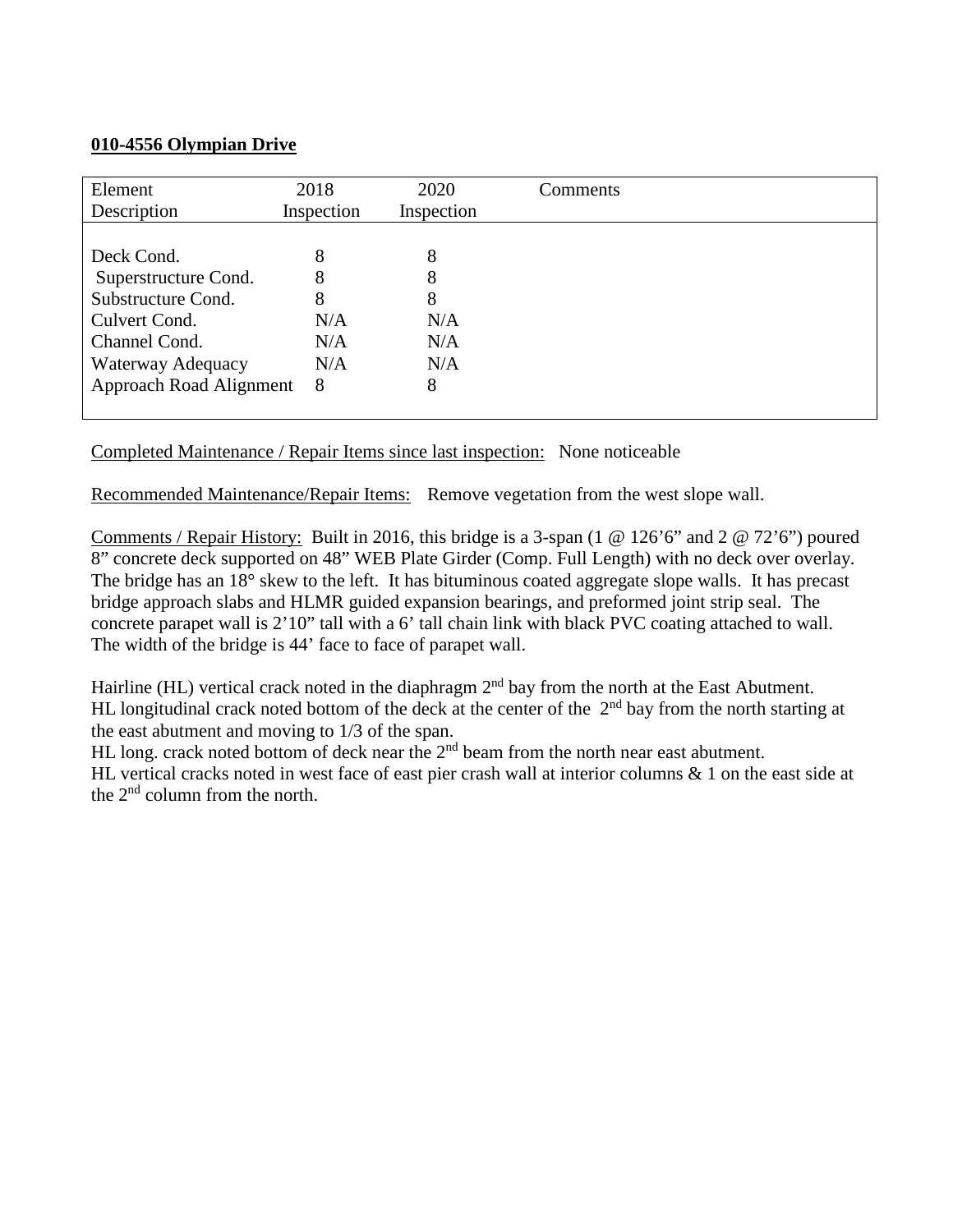## **010-4556 Olympian Drive**

| Element<br>Description  | 2018<br>Inspection | 2020<br>Inspection | Comments |
|-------------------------|--------------------|--------------------|----------|
|                         |                    |                    |          |
| Deck Cond.              | 8                  | 8                  |          |
| Superstructure Cond.    | 8                  | 8                  |          |
| Substructure Cond.      | 8                  | 8                  |          |
| Culvert Cond.           | N/A                | N/A                |          |
| Channel Cond.           | N/A                | N/A                |          |
| Waterway Adequacy       | N/A                | N/A                |          |
| Approach Road Alignment | 8                  | 8                  |          |
|                         |                    |                    |          |

Completed Maintenance / Repair Items since last inspection: None noticeable

Recommended Maintenance/Repair Items: Remove vegetation from the west slope wall.

Comments / Repair History: Built in 2016, this bridge is a 3-span (1 @ 126'6" and 2 @ 72'6") poured 8" concrete deck supported on 48" WEB Plate Girder (Comp. Full Length) with no deck over overlay. The bridge has an 18° skew to the left. It has bituminous coated aggregate slope walls. It has precast bridge approach slabs and HLMR guided expansion bearings, and preformed joint strip seal. The concrete parapet wall is 2'10" tall with a 6' tall chain link with black PVC coating attached to wall. The width of the bridge is 44' face to face of parapet wall.

Hairline (HL) vertical crack noted in the diaphragm  $2<sup>nd</sup>$  bay from the north at the East Abutment. HL longitudinal crack noted bottom of the deck at the center of the  $2<sup>nd</sup>$  bay from the north starting at the east abutment and moving to 1/3 of the span.

HL long. crack noted bottom of deck near the 2<sup>nd</sup> beam from the north near east abutment.

HL vertical cracks noted in west face of east pier crash wall at interior columns & 1 on the east side at the 2nd column from the north.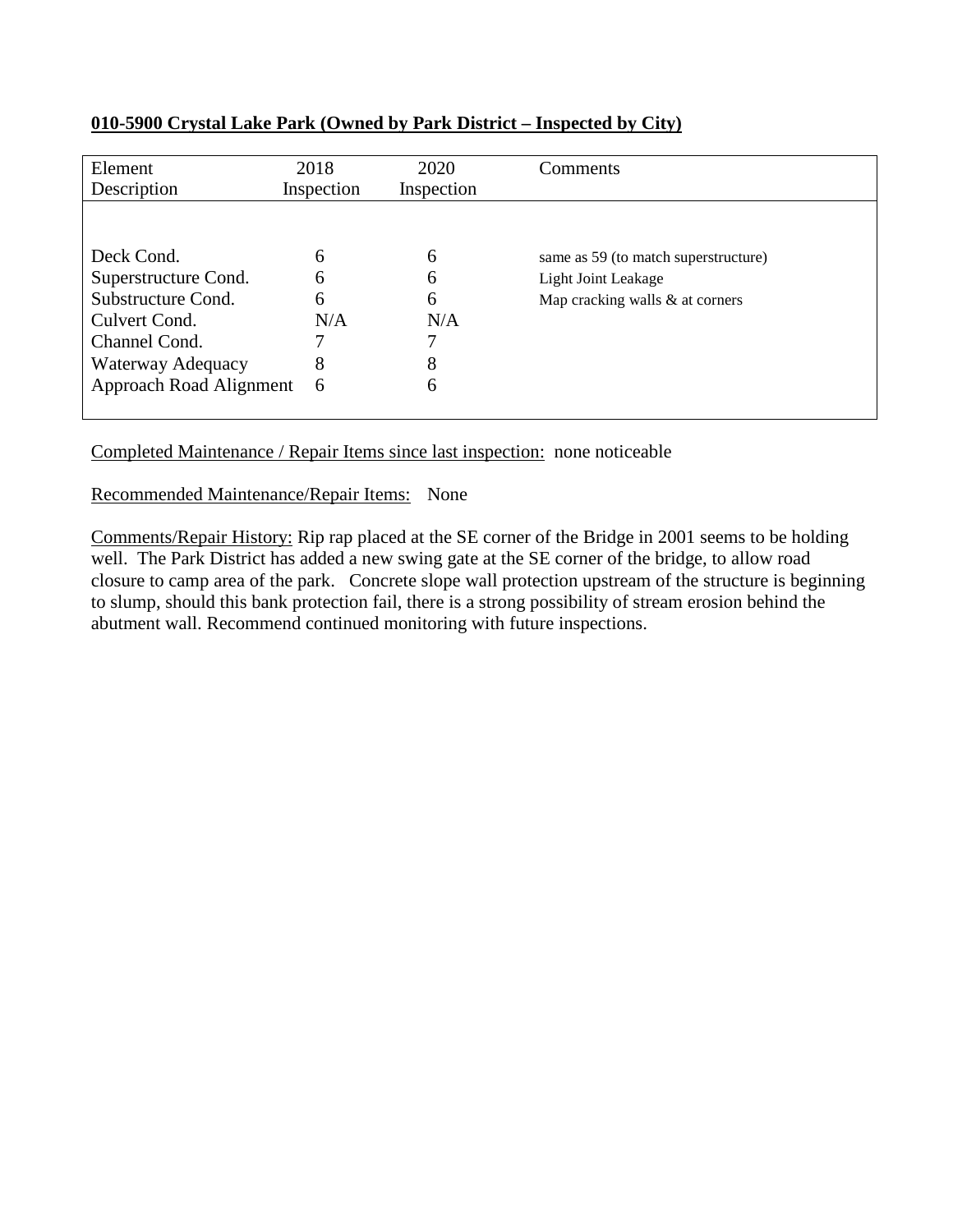| Element<br>Description  | 2018<br>Inspection | 2020<br>Inspection | Comments                             |
|-------------------------|--------------------|--------------------|--------------------------------------|
|                         |                    |                    |                                      |
| Deck Cond.              | 6                  | 6                  | same as 59 (to match superstructure) |
| Superstructure Cond.    | 6                  | 6                  | Light Joint Leakage                  |
| Substructure Cond.      | 6                  | 6                  | Map cracking walls & at corners      |
| Culvert Cond.           | N/A                | N/A                |                                      |
| Channel Cond.           | 7                  | 7                  |                                      |
| Waterway Adequacy       | 8                  | 8                  |                                      |
| Approach Road Alignment | 6                  | 6                  |                                      |
|                         |                    |                    |                                      |

## **010-5900 Crystal Lake Park (Owned by Park District – Inspected by City)**

Completed Maintenance / Repair Items since last inspection: none noticeable

## Recommended Maintenance/Repair Items: None

Comments/Repair History: Rip rap placed at the SE corner of the Bridge in 2001 seems to be holding well. The Park District has added a new swing gate at the SE corner of the bridge, to allow road closure to camp area of the park. Concrete slope wall protection upstream of the structure is beginning to slump, should this bank protection fail, there is a strong possibility of stream erosion behind the abutment wall. Recommend continued monitoring with future inspections.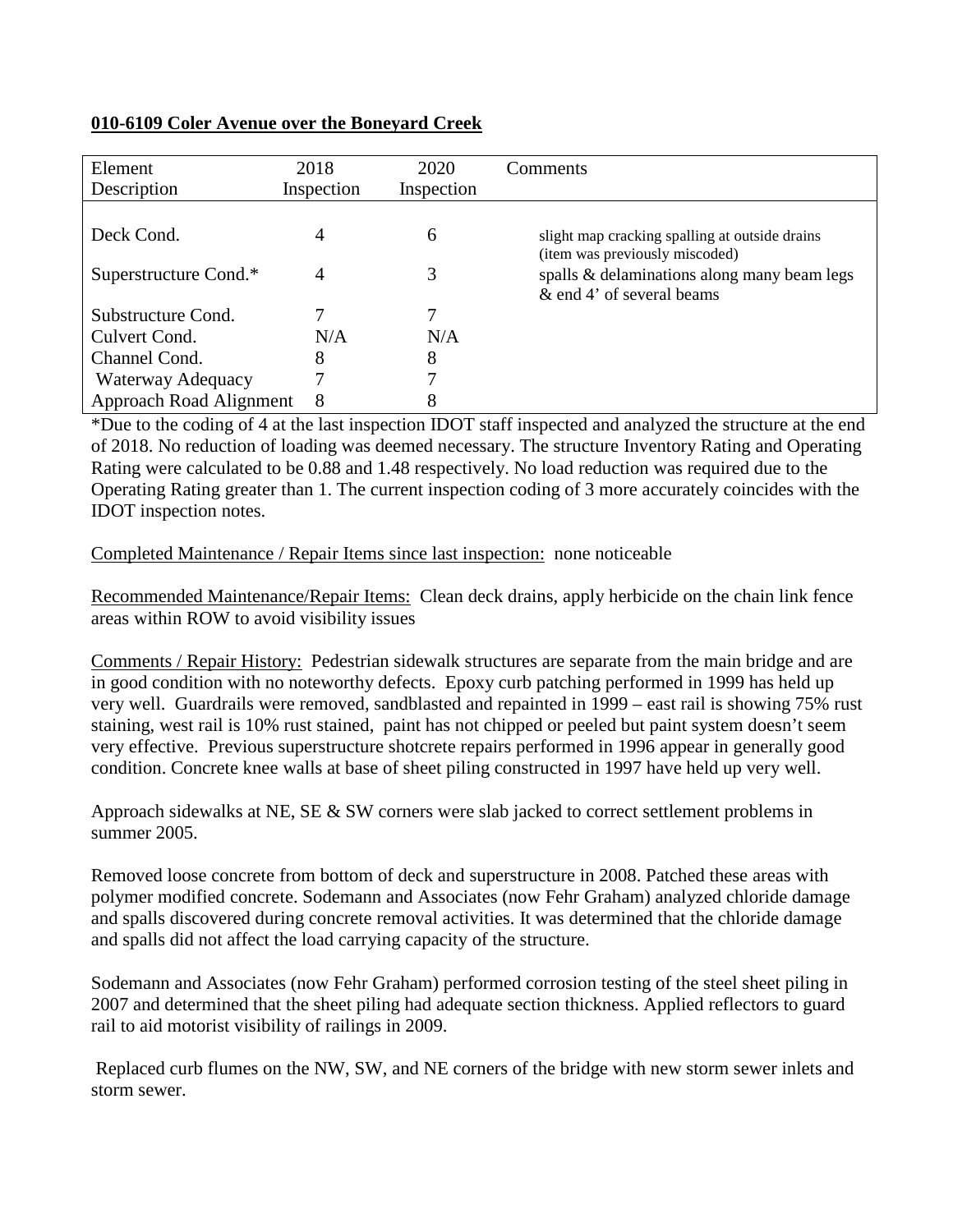## **010-6109 Coler Avenue over the Boneyard Creek**

| Element                 | 2018       | 2020       | Comments                                       |
|-------------------------|------------|------------|------------------------------------------------|
| Description             | Inspection | Inspection |                                                |
|                         |            |            |                                                |
| Deck Cond.              | 4          | 6          | slight map cracking spalling at outside drains |
|                         |            |            | (item was previously miscoded)                 |
| Superstructure Cond.*   | 4          | 3          | spalls & delaminations along many beam legs    |
|                         |            |            | & end 4' of several beams                      |
| Substructure Cond.      | 7          | 7          |                                                |
| Culvert Cond.           | N/A        | N/A        |                                                |
| Channel Cond.           | 8          | 8          |                                                |
| Waterway Adequacy       | 7          | 7          |                                                |
| Approach Road Alignment | 8          | 8          |                                                |

\*Due to the coding of 4 at the last inspection IDOT staff inspected and analyzed the structure at the end of 2018. No reduction of loading was deemed necessary. The structure Inventory Rating and Operating Rating were calculated to be 0.88 and 1.48 respectively. No load reduction was required due to the Operating Rating greater than 1. The current inspection coding of 3 more accurately coincides with the IDOT inspection notes.

#### Completed Maintenance / Repair Items since last inspection: none noticeable

Recommended Maintenance/Repair Items: Clean deck drains, apply herbicide on the chain link fence areas within ROW to avoid visibility issues

Comments / Repair History: Pedestrian sidewalk structures are separate from the main bridge and are in good condition with no noteworthy defects. Epoxy curb patching performed in 1999 has held up very well. Guardrails were removed, sandblasted and repainted in 1999 – east rail is showing 75% rust staining, west rail is 10% rust stained, paint has not chipped or peeled but paint system doesn't seem very effective. Previous superstructure shotcrete repairs performed in 1996 appear in generally good condition. Concrete knee walls at base of sheet piling constructed in 1997 have held up very well.

Approach sidewalks at NE, SE & SW corners were slab jacked to correct settlement problems in summer 2005.

Removed loose concrete from bottom of deck and superstructure in 2008. Patched these areas with polymer modified concrete. Sodemann and Associates (now Fehr Graham) analyzed chloride damage and spalls discovered during concrete removal activities. It was determined that the chloride damage and spalls did not affect the load carrying capacity of the structure.

Sodemann and Associates (now Fehr Graham) performed corrosion testing of the steel sheet piling in 2007 and determined that the sheet piling had adequate section thickness. Applied reflectors to guard rail to aid motorist visibility of railings in 2009.

Replaced curb flumes on the NW, SW, and NE corners of the bridge with new storm sewer inlets and storm sewer.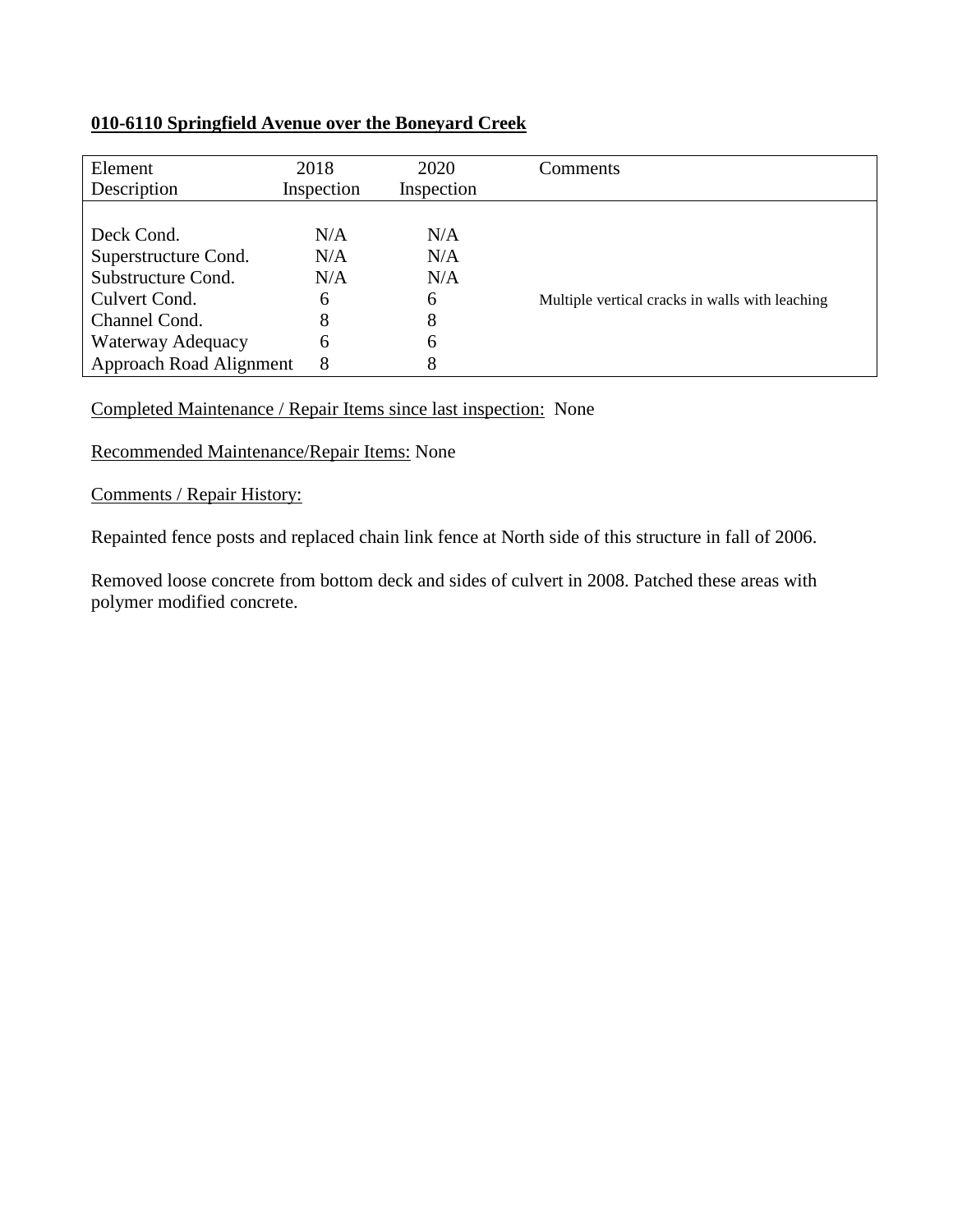## **010-6110 Springfield Avenue over the Boneyard Creek**

| Element<br>Description         | 2018<br>Inspection | 2020<br>Inspection | Comments                                        |
|--------------------------------|--------------------|--------------------|-------------------------------------------------|
|                                |                    |                    |                                                 |
| Deck Cond.                     | N/A                | N/A                |                                                 |
| Superstructure Cond.           | N/A                | N/A                |                                                 |
| Substructure Cond.             | N/A                | N/A                |                                                 |
| Culvert Cond.                  | 6                  | 6                  | Multiple vertical cracks in walls with leaching |
| Channel Cond.                  | 8                  | 8                  |                                                 |
| Waterway Adequacy              | 6                  | 6                  |                                                 |
| <b>Approach Road Alignment</b> | 8                  | 8                  |                                                 |

Completed Maintenance / Repair Items since last inspection: None

Recommended Maintenance/Repair Items: None

Comments / Repair History:

Repainted fence posts and replaced chain link fence at North side of this structure in fall of 2006.

Removed loose concrete from bottom deck and sides of culvert in 2008. Patched these areas with polymer modified concrete.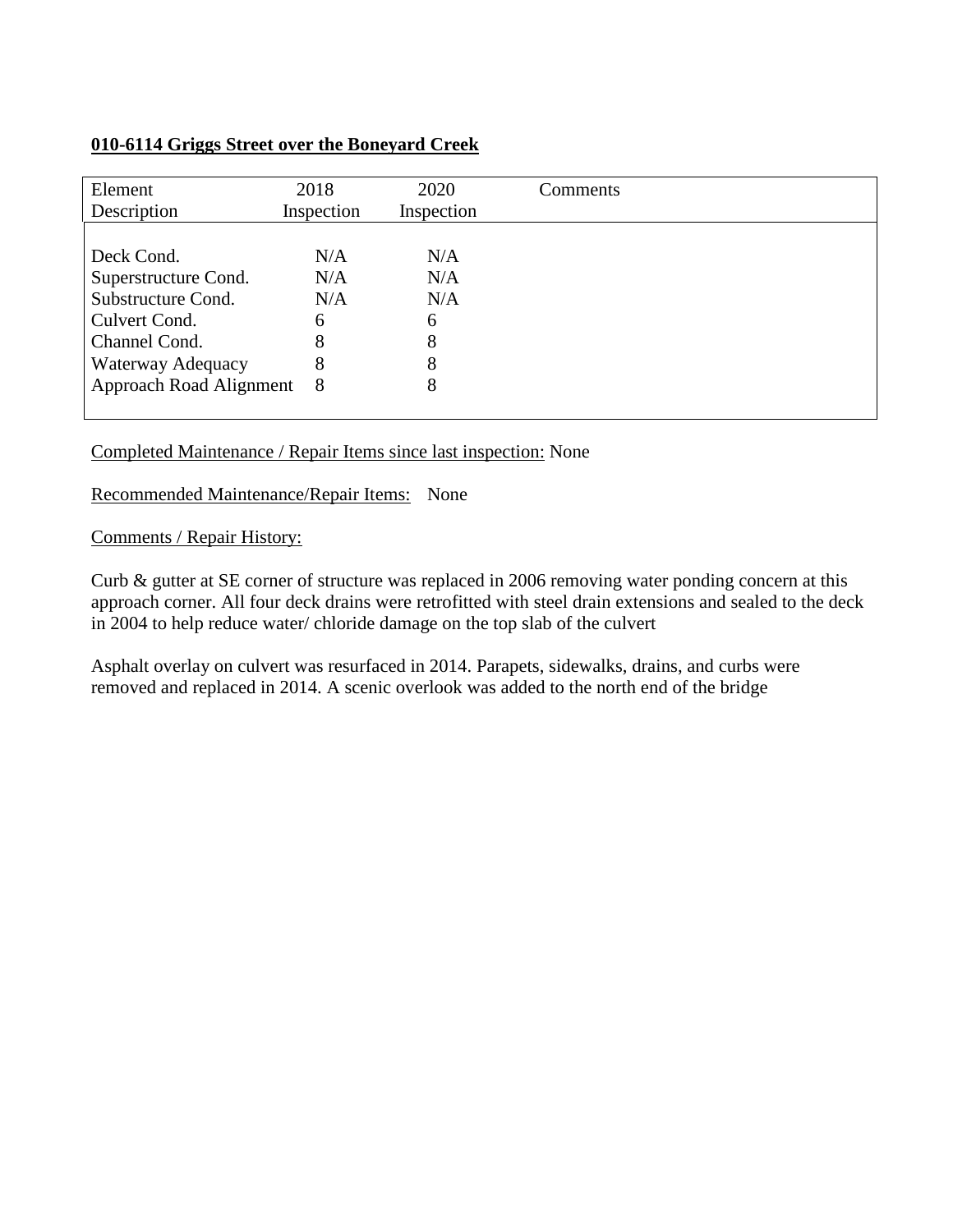## **010-6114 Griggs Street over the Boneyard Creek**

| Element<br>Description  | 2018<br>Inspection | 2020<br>Inspection | Comments |
|-------------------------|--------------------|--------------------|----------|
|                         |                    |                    |          |
| Deck Cond.              | N/A                | N/A                |          |
| Superstructure Cond.    | N/A                | N/A                |          |
| Substructure Cond.      | N/A                | N/A                |          |
| Culvert Cond.           | 6                  | 6                  |          |
| Channel Cond.           | 8                  | 8                  |          |
| Waterway Adequacy       | 8                  | 8                  |          |
| Approach Road Alignment | 8                  | 8                  |          |
|                         |                    |                    |          |

#### Completed Maintenance / Repair Items since last inspection: None

#### Recommended Maintenance/Repair Items: None

#### Comments / Repair History:

Curb & gutter at SE corner of structure was replaced in 2006 removing water ponding concern at this approach corner. All four deck drains were retrofitted with steel drain extensions and sealed to the deck in 2004 to help reduce water/ chloride damage on the top slab of the culvert

Asphalt overlay on culvert was resurfaced in 2014. Parapets, sidewalks, drains, and curbs were removed and replaced in 2014. A scenic overlook was added to the north end of the bridge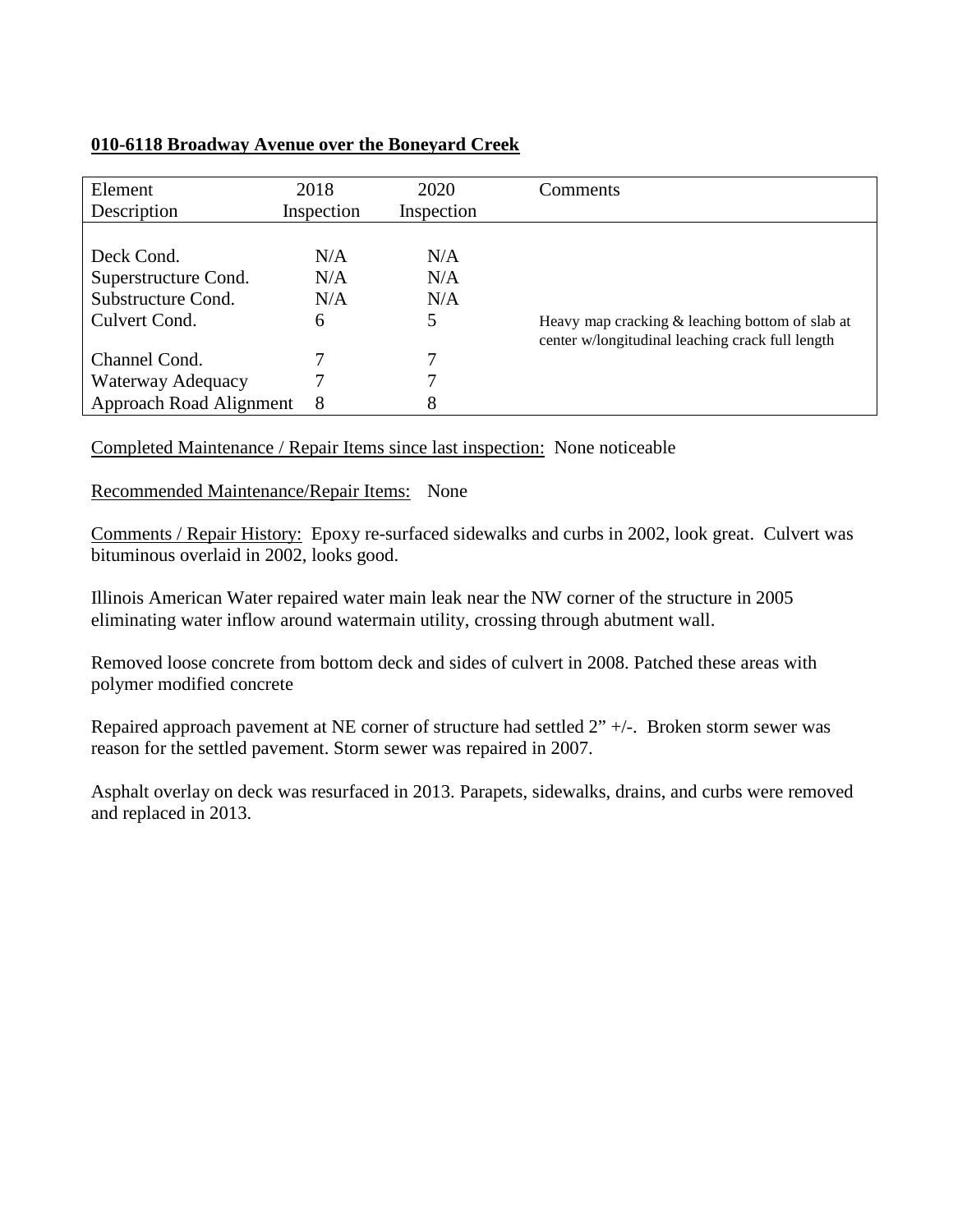## **010-6118 Broadway Avenue over the Boneyard Creek**

| Element<br>Description  | 2018<br>Inspection | 2020<br>Inspection | Comments                                         |
|-------------------------|--------------------|--------------------|--------------------------------------------------|
|                         |                    |                    |                                                  |
| Deck Cond.              | N/A                | N/A                |                                                  |
| Superstructure Cond.    | N/A                | N/A                |                                                  |
| Substructure Cond.      | N/A                | N/A                |                                                  |
| Culvert Cond.           | 6                  | 5                  | Heavy map cracking & leaching bottom of slab at  |
|                         |                    |                    | center w/longitudinal leaching crack full length |
| Channel Cond.           |                    |                    |                                                  |
| Waterway Adequacy       |                    |                    |                                                  |
| Approach Road Alignment | 8                  | 8                  |                                                  |

Completed Maintenance / Repair Items since last inspection: None noticeable

Recommended Maintenance/Repair Items: None

Comments / Repair History: Epoxy re-surfaced sidewalks and curbs in 2002, look great. Culvert was bituminous overlaid in 2002, looks good.

Illinois American Water repaired water main leak near the NW corner of the structure in 2005 eliminating water inflow around watermain utility, crossing through abutment wall.

Removed loose concrete from bottom deck and sides of culvert in 2008. Patched these areas with polymer modified concrete

Repaired approach pavement at NE corner of structure had settled 2" +/-. Broken storm sewer was reason for the settled pavement. Storm sewer was repaired in 2007.

Asphalt overlay on deck was resurfaced in 2013. Parapets, sidewalks, drains, and curbs were removed and replaced in 2013.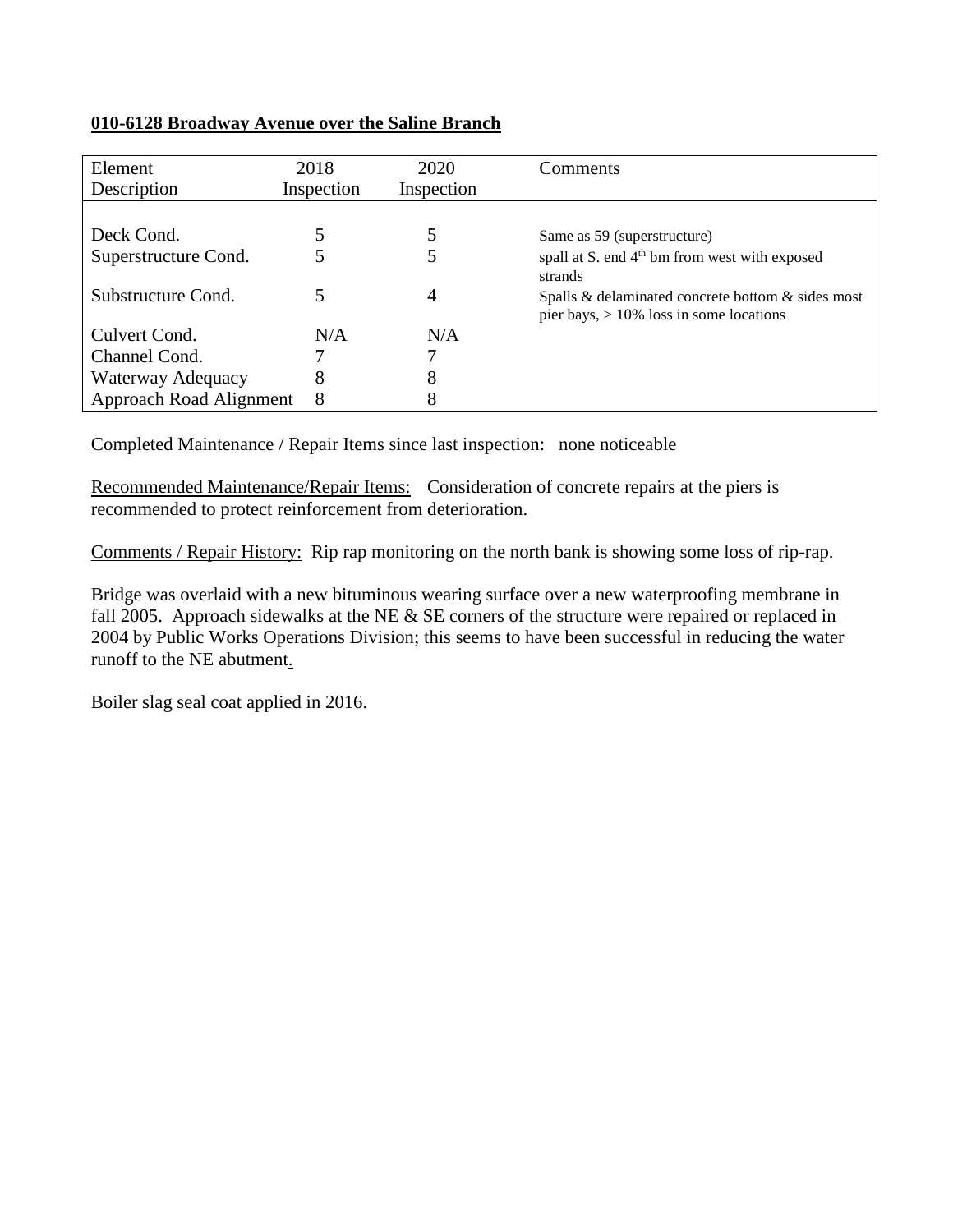## **010-6128 Broadway Avenue over the Saline Branch**

| Element                 | 2018       | 2020       | Comments                                                                                        |
|-------------------------|------------|------------|-------------------------------------------------------------------------------------------------|
| Description             | Inspection | Inspection |                                                                                                 |
|                         |            |            |                                                                                                 |
| Deck Cond.              |            | 5          | Same as 59 (superstructure)                                                                     |
| Superstructure Cond.    |            | 5          | spall at S. end 4 <sup>th</sup> bm from west with exposed                                       |
|                         |            |            | strands                                                                                         |
| Substructure Cond.      |            | 4          | Spalls & delaminated concrete bottom & sides most<br>pier bays, $> 10\%$ loss in some locations |
| Culvert Cond.           | N/A        | N/A        |                                                                                                 |
| Channel Cond.           |            |            |                                                                                                 |
| Waterway Adequacy       | 8          | 8          |                                                                                                 |
| Approach Road Alignment | 8          | 8          |                                                                                                 |

Completed Maintenance / Repair Items since last inspection: none noticeable

Recommended Maintenance/Repair Items: Consideration of concrete repairs at the piers is recommended to protect reinforcement from deterioration.

Comments / Repair History: Rip rap monitoring on the north bank is showing some loss of rip-rap.

Bridge was overlaid with a new bituminous wearing surface over a new waterproofing membrane in fall 2005. Approach sidewalks at the NE & SE corners of the structure were repaired or replaced in 2004 by Public Works Operations Division; this seems to have been successful in reducing the water runoff to the NE abutment.

Boiler slag seal coat applied in 2016.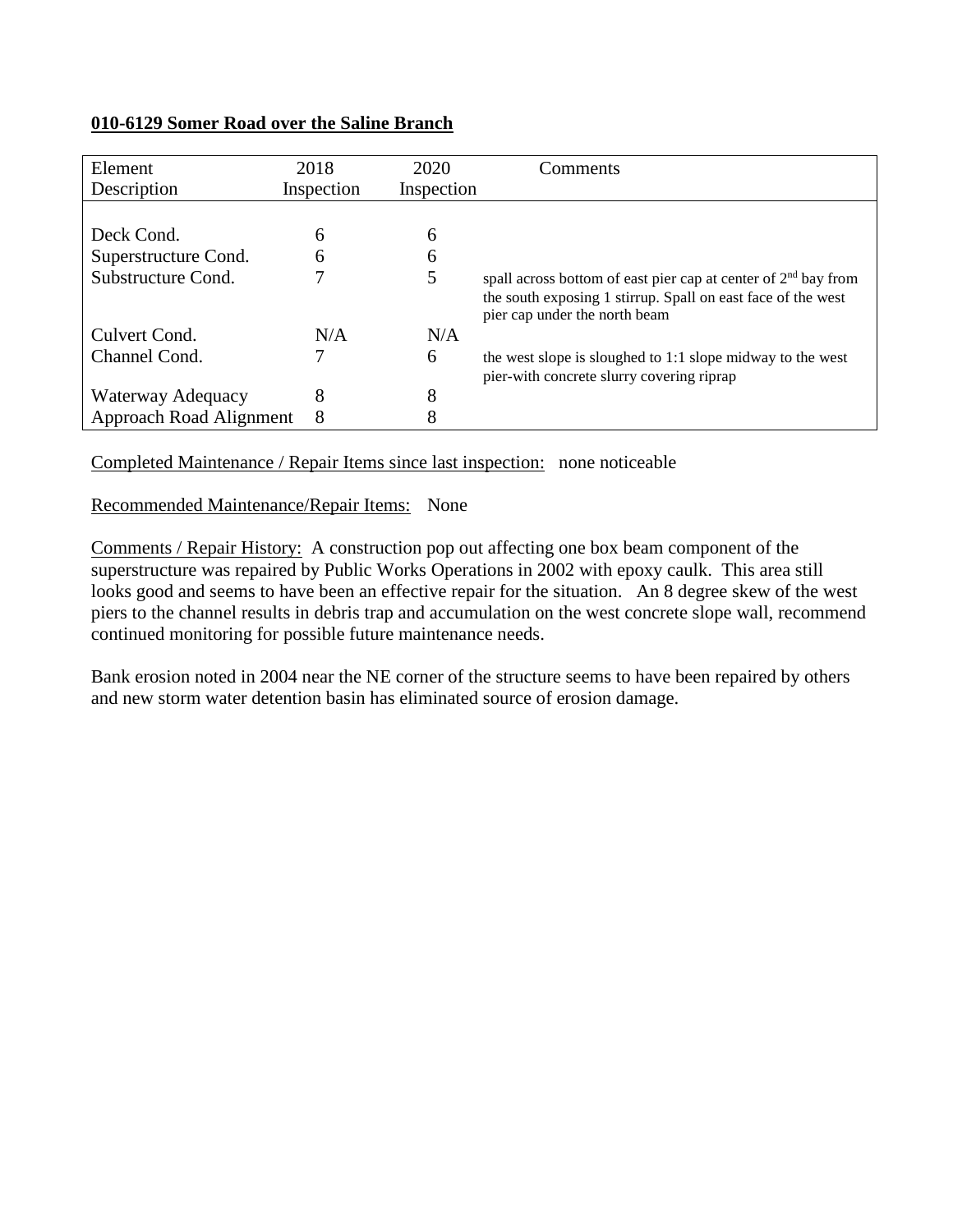#### **010-6129 Somer Road over the Saline Branch**

| Element                 | 2018       | 2020       | Comments                                                         |
|-------------------------|------------|------------|------------------------------------------------------------------|
| Description             | Inspection | Inspection |                                                                  |
|                         |            |            |                                                                  |
| Deck Cond.              | 6          | 6          |                                                                  |
| Superstructure Cond.    | 6          | 6          |                                                                  |
| Substructure Cond.      | 7          | 5          | spall across bottom of east pier cap at center of $2nd$ bay from |
|                         |            |            | the south exposing 1 stirrup. Spall on east face of the west     |
|                         |            |            | pier cap under the north beam                                    |
| Culvert Cond.           | N/A        | N/A        |                                                                  |
| Channel Cond.           |            | 6          | the west slope is sloughed to 1:1 slope midway to the west       |
|                         |            |            | pier-with concrete slurry covering riprap                        |
| Waterway Adequacy       | 8          | 8          |                                                                  |
| Approach Road Alignment | 8          | 8          |                                                                  |

Completed Maintenance / Repair Items since last inspection: none noticeable

Recommended Maintenance/Repair Items: None

Comments / Repair History: A construction pop out affecting one box beam component of the superstructure was repaired by Public Works Operations in 2002 with epoxy caulk. This area still looks good and seems to have been an effective repair for the situation. An 8 degree skew of the west piers to the channel results in debris trap and accumulation on the west concrete slope wall, recommend continued monitoring for possible future maintenance needs.

Bank erosion noted in 2004 near the NE corner of the structure seems to have been repaired by others and new storm water detention basin has eliminated source of erosion damage.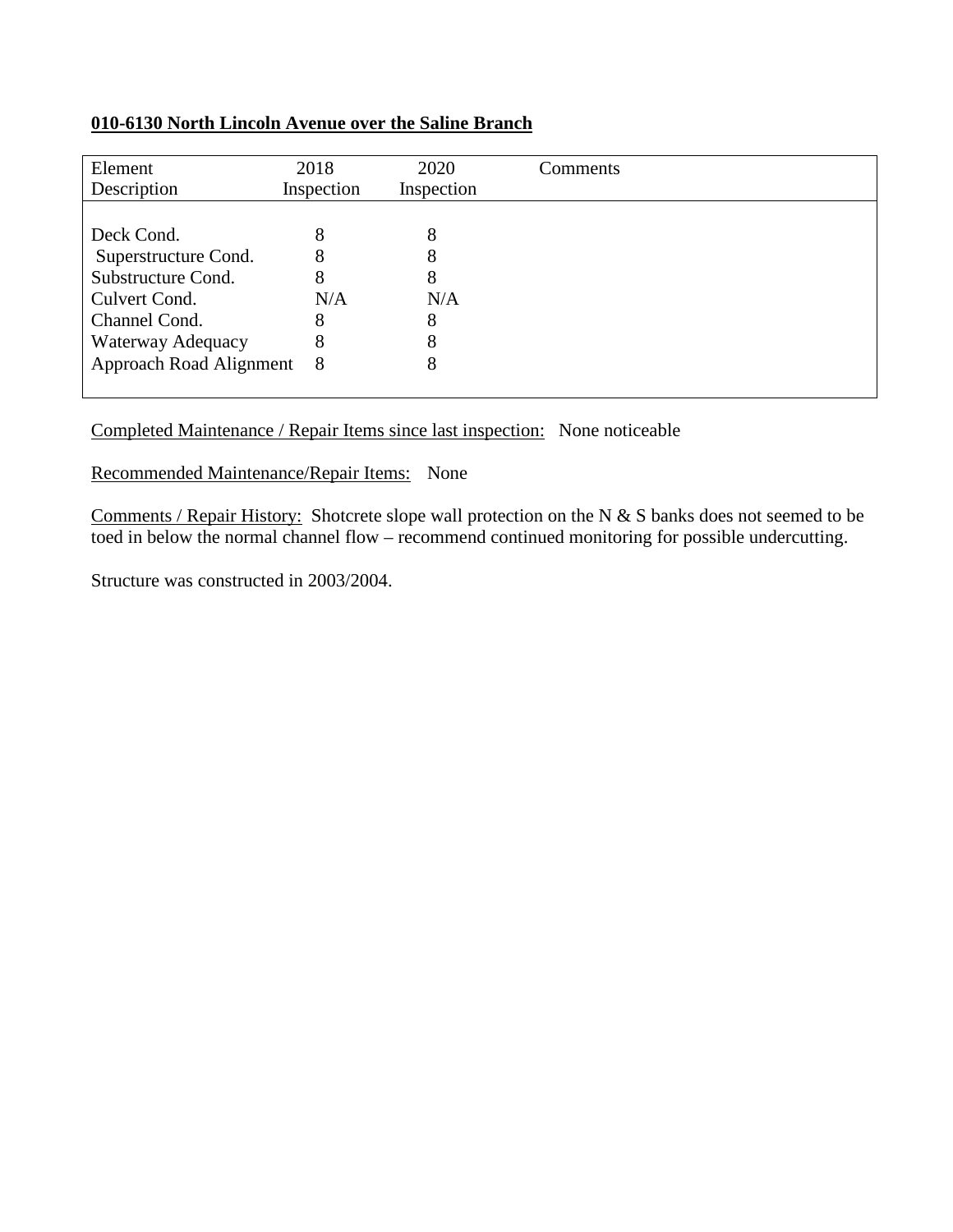## **010-6130 North Lincoln Avenue over the Saline Branch**

| Element                   | 2018       | 2020       | Comments |
|---------------------------|------------|------------|----------|
| Description               | Inspection | Inspection |          |
|                           |            |            |          |
| Deck Cond.                | 8          | 8          |          |
| Superstructure Cond.      | 8          | 8          |          |
| Substructure Cond.        | 8          | 8          |          |
| Culvert Cond.             | N/A        | N/A        |          |
| Channel Cond.             | 8          | 8          |          |
| Waterway Adequacy         | 8          | 8          |          |
| Approach Road Alignment 8 |            | 8          |          |
|                           |            |            |          |

## Completed Maintenance / Repair Items since last inspection: None noticeable

Recommended Maintenance/Repair Items: None

Comments / Repair History: Shotcrete slope wall protection on the N & S banks does not seemed to be toed in below the normal channel flow – recommend continued monitoring for possible undercutting.

Structure was constructed in 2003/2004.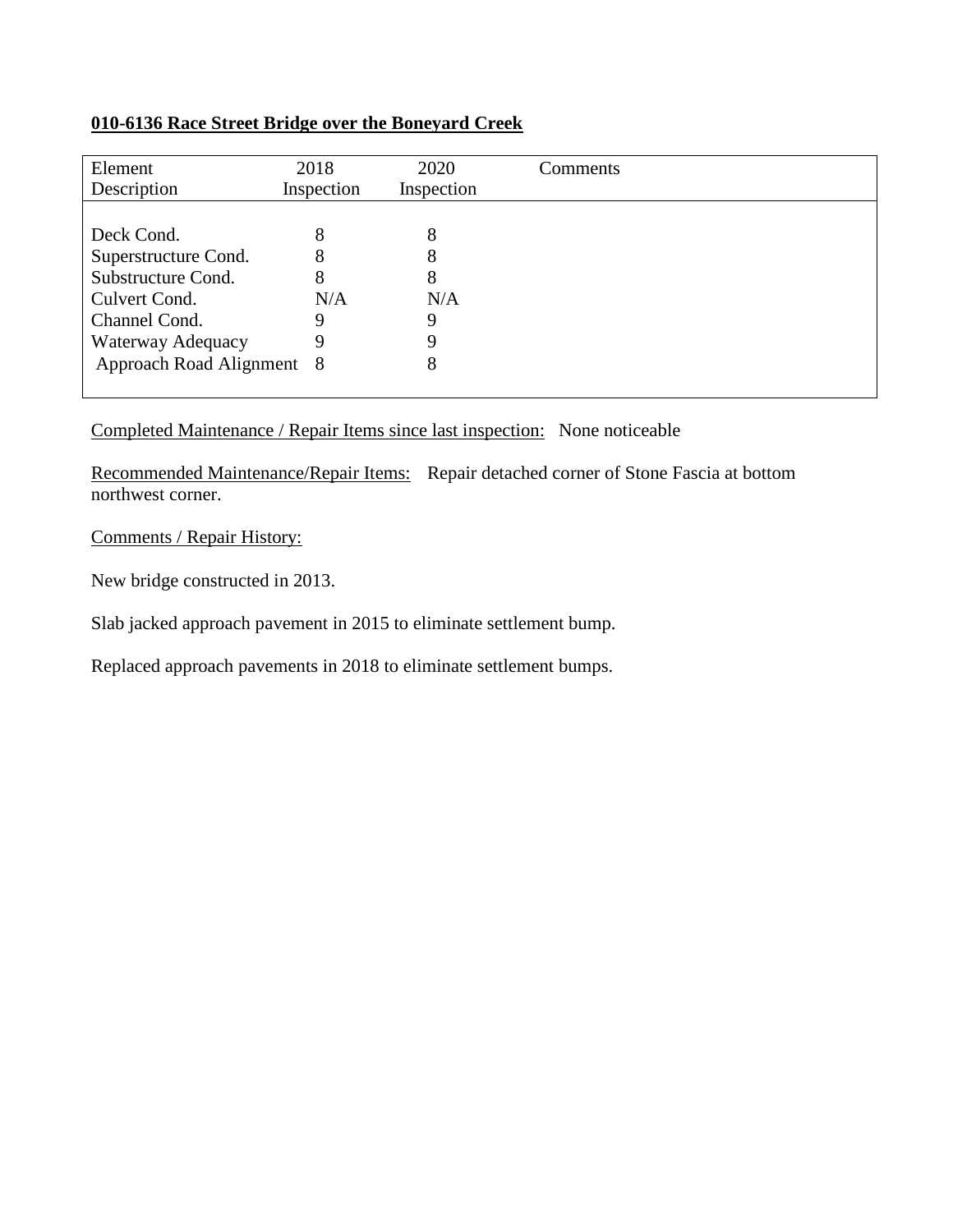## **010-6136 Race Street Bridge over the Boneyard Creek**

| Element<br>Description    | 2018<br>Inspection | 2020<br>Inspection | Comments |
|---------------------------|--------------------|--------------------|----------|
|                           |                    |                    |          |
| Deck Cond.                | 8                  | 8                  |          |
| Superstructure Cond.      | 8                  | 8                  |          |
| Substructure Cond.        | 8                  | 8                  |          |
| Culvert Cond.             | N/A                | N/A                |          |
| Channel Cond.             |                    | Q                  |          |
| Waterway Adequacy         | 9                  | Q                  |          |
| Approach Road Alignment 8 |                    | 8                  |          |

Completed Maintenance / Repair Items since last inspection: None noticeable

Recommended Maintenance/Repair Items: Repair detached corner of Stone Fascia at bottom northwest corner.

Comments / Repair History:

New bridge constructed in 2013.

Slab jacked approach pavement in 2015 to eliminate settlement bump.

Replaced approach pavements in 2018 to eliminate settlement bumps.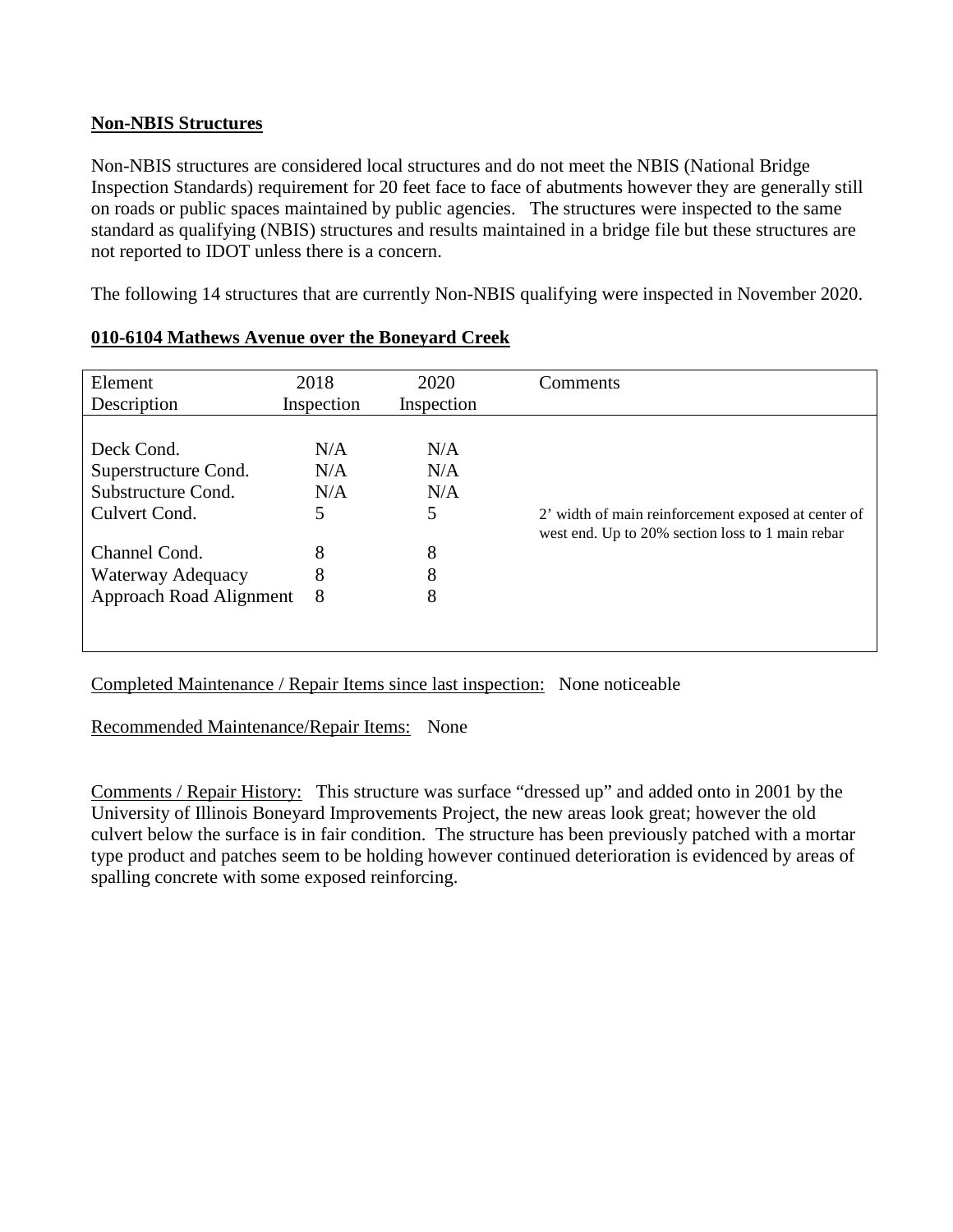## **Non-NBIS Structures**

Non-NBIS structures are considered local structures and do not meet the NBIS (National Bridge Inspection Standards) requirement for 20 feet face to face of abutments however they are generally still on roads or public spaces maintained by public agencies. The structures were inspected to the same standard as qualifying (NBIS) structures and results maintained in a bridge file but these structures are not reported to IDOT unless there is a concern.

The following 14 structures that are currently Non-NBIS qualifying were inspected in November 2020.

| Element                 | 2018       | 2020       | Comments                                            |
|-------------------------|------------|------------|-----------------------------------------------------|
| Description             | Inspection | Inspection |                                                     |
| Deck Cond.              | N/A        | N/A        | 2' width of main reinforcement exposed at center of |
| Superstructure Cond.    | N/A        | N/A        |                                                     |
| Substructure Cond.      | N/A        | N/A        |                                                     |
| Culvert Cond.           | 5          | 5          |                                                     |
| Channel Cond.           | 8          | 8          | west end. Up to 20% section loss to 1 main rebar    |
| Waterway Adequacy       | 8          | 8          |                                                     |
| Approach Road Alignment | 8          | 8          |                                                     |

## **010-6104 Mathews Avenue over the Boneyard Creek**

Completed Maintenance / Repair Items since last inspection: None noticeable

Recommended Maintenance/Repair Items: None

Comments / Repair History: This structure was surface "dressed up" and added onto in 2001 by the University of Illinois Boneyard Improvements Project, the new areas look great; however the old culvert below the surface is in fair condition. The structure has been previously patched with a mortar type product and patches seem to be holding however continued deterioration is evidenced by areas of spalling concrete with some exposed reinforcing.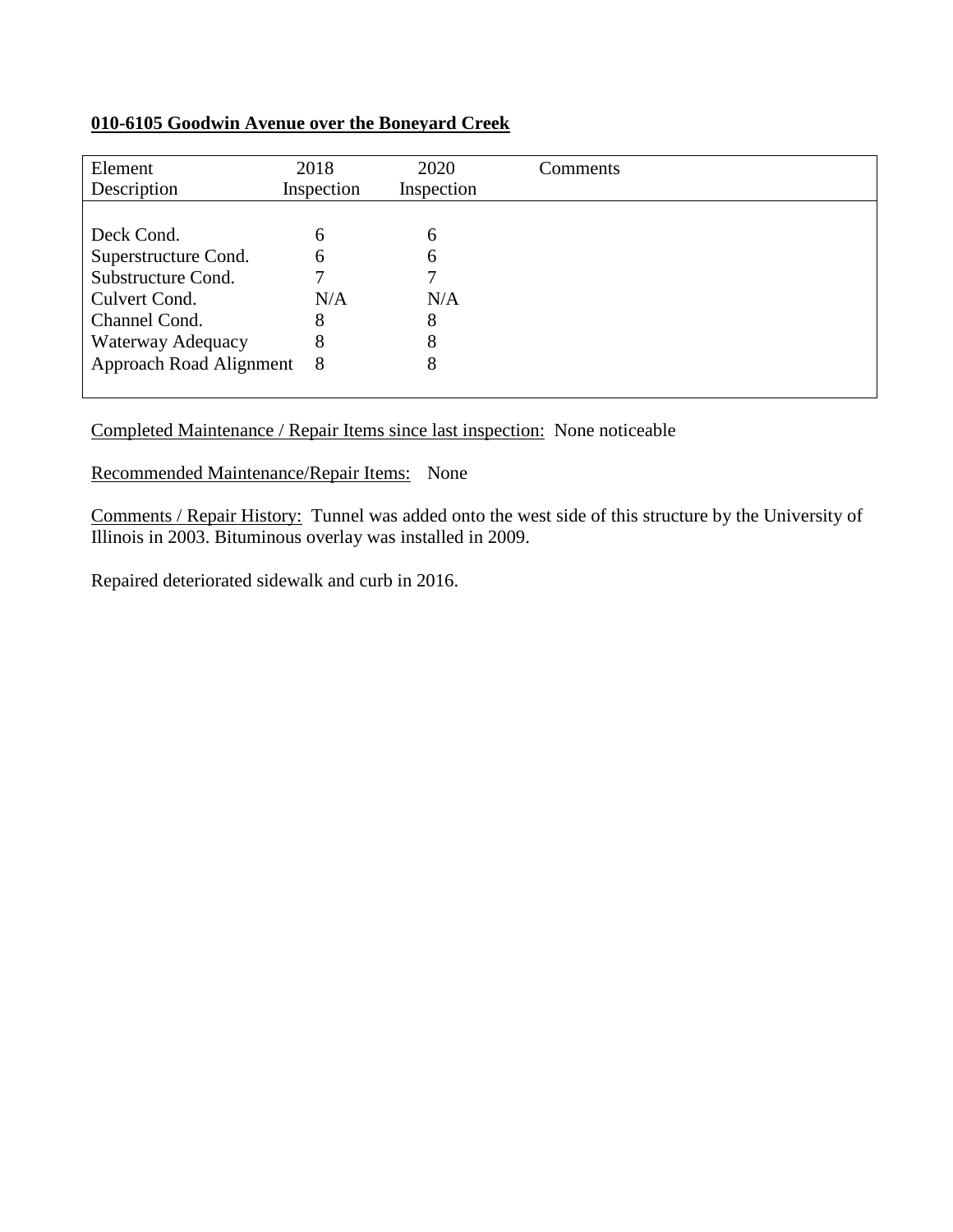## **010-6105 Goodwin Avenue over the Boneyard Creek**

| Element<br>Description    | 2018<br>Inspection | 2020<br>Inspection | Comments |
|---------------------------|--------------------|--------------------|----------|
|                           |                    |                    |          |
| Deck Cond.                | 6                  | 6                  |          |
| Superstructure Cond.      | 6                  | 6                  |          |
| Substructure Cond.        |                    |                    |          |
| Culvert Cond.             | N/A                | N/A                |          |
| Channel Cond.             | 8                  | 8                  |          |
| Waterway Adequacy         | 8                  | 8                  |          |
| Approach Road Alignment 8 |                    | 8                  |          |
|                           |                    |                    |          |

## Completed Maintenance / Repair Items since last inspection: None noticeable

## Recommended Maintenance/Repair Items: None

Comments / Repair History: Tunnel was added onto the west side of this structure by the University of Illinois in 2003. Bituminous overlay was installed in 2009.

Repaired deteriorated sidewalk and curb in 2016.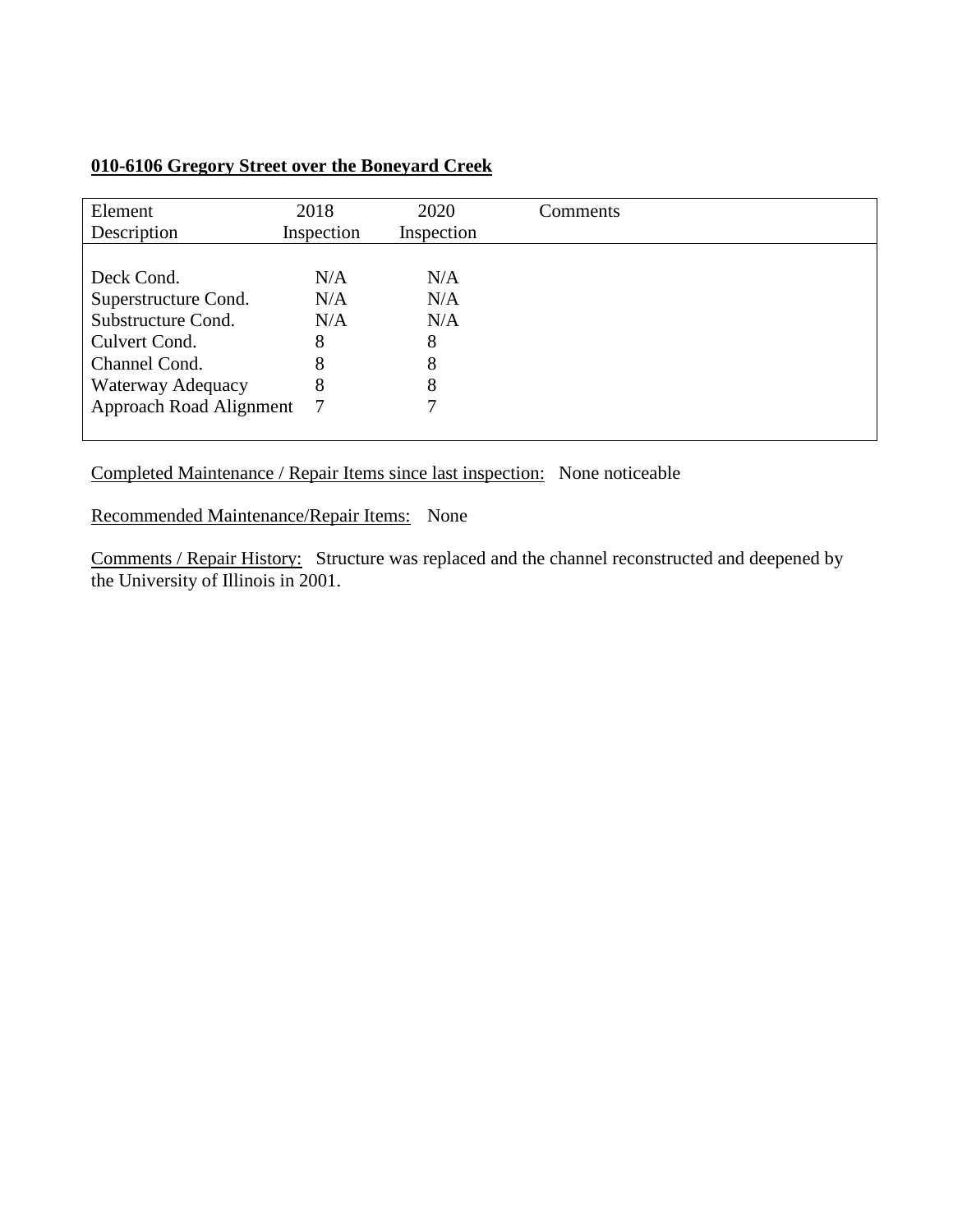| 010-6106 Gregory Street over the Boneyard Creek |  |
|-------------------------------------------------|--|
|                                                 |  |

| Element<br>Description         | 2018<br>Inspection | 2020<br>Inspection | Comments |
|--------------------------------|--------------------|--------------------|----------|
|                                |                    |                    |          |
| Deck Cond.                     | N/A                | N/A                |          |
| Superstructure Cond.           | N/A                | N/A                |          |
| Substructure Cond.             | N/A                | N/A                |          |
| Culvert Cond.                  | 8                  | 8                  |          |
| Channel Cond.                  | 8                  | 8                  |          |
| Waterway Adequacy              | 8                  | 8                  |          |
| <b>Approach Road Alignment</b> | -7                 | 7                  |          |
|                                |                    |                    |          |

Completed Maintenance / Repair Items since last inspection: None noticeable

Recommended Maintenance/Repair Items: None

Comments / Repair History: Structure was replaced and the channel reconstructed and deepened by the University of Illinois in 2001.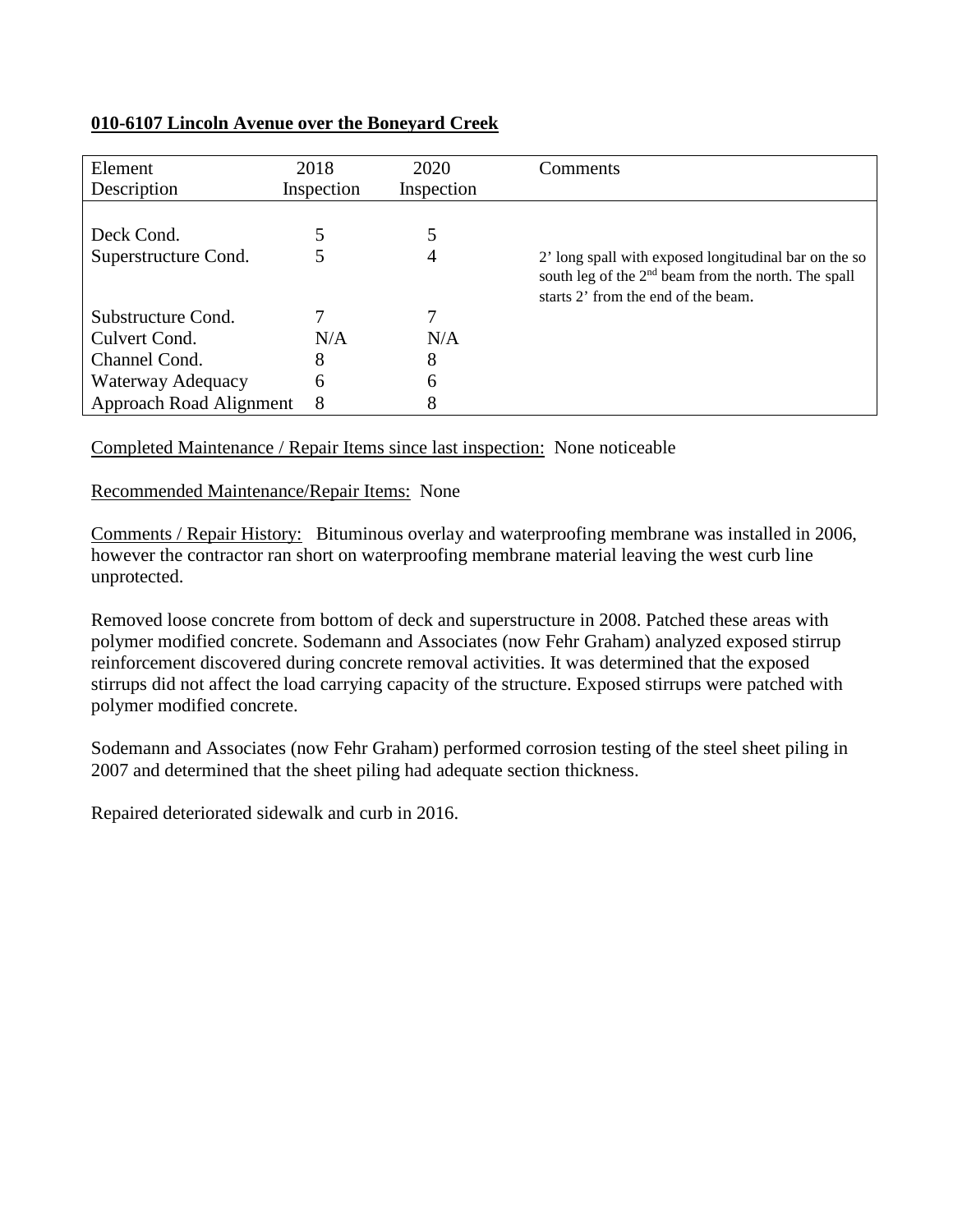## **010-6107 Lincoln Avenue over the Boneyard Creek**

| Element<br>Description         | 2018<br>Inspection | 2020<br>Inspection | Comments                                                                                                                                                        |
|--------------------------------|--------------------|--------------------|-----------------------------------------------------------------------------------------------------------------------------------------------------------------|
|                                |                    |                    |                                                                                                                                                                 |
| Deck Cond.                     |                    |                    |                                                                                                                                                                 |
| Superstructure Cond.           |                    | 4                  | 2' long spall with exposed longitudinal bar on the so<br>south leg of the 2 <sup>nd</sup> beam from the north. The spall<br>starts 2' from the end of the beam. |
| Substructure Cond.             |                    |                    |                                                                                                                                                                 |
| Culvert Cond.                  | N/A                | N/A                |                                                                                                                                                                 |
| Channel Cond.                  | 8                  | 8                  |                                                                                                                                                                 |
| Waterway Adequacy              | 6                  | 6                  |                                                                                                                                                                 |
| <b>Approach Road Alignment</b> | 8                  | 8                  |                                                                                                                                                                 |

Completed Maintenance / Repair Items since last inspection: None noticeable

Recommended Maintenance/Repair Items: None

Comments / Repair History: Bituminous overlay and waterproofing membrane was installed in 2006, however the contractor ran short on waterproofing membrane material leaving the west curb line unprotected.

Removed loose concrete from bottom of deck and superstructure in 2008. Patched these areas with polymer modified concrete. Sodemann and Associates (now Fehr Graham) analyzed exposed stirrup reinforcement discovered during concrete removal activities. It was determined that the exposed stirrups did not affect the load carrying capacity of the structure. Exposed stirrups were patched with polymer modified concrete.

Sodemann and Associates (now Fehr Graham) performed corrosion testing of the steel sheet piling in 2007 and determined that the sheet piling had adequate section thickness.

Repaired deteriorated sidewalk and curb in 2016.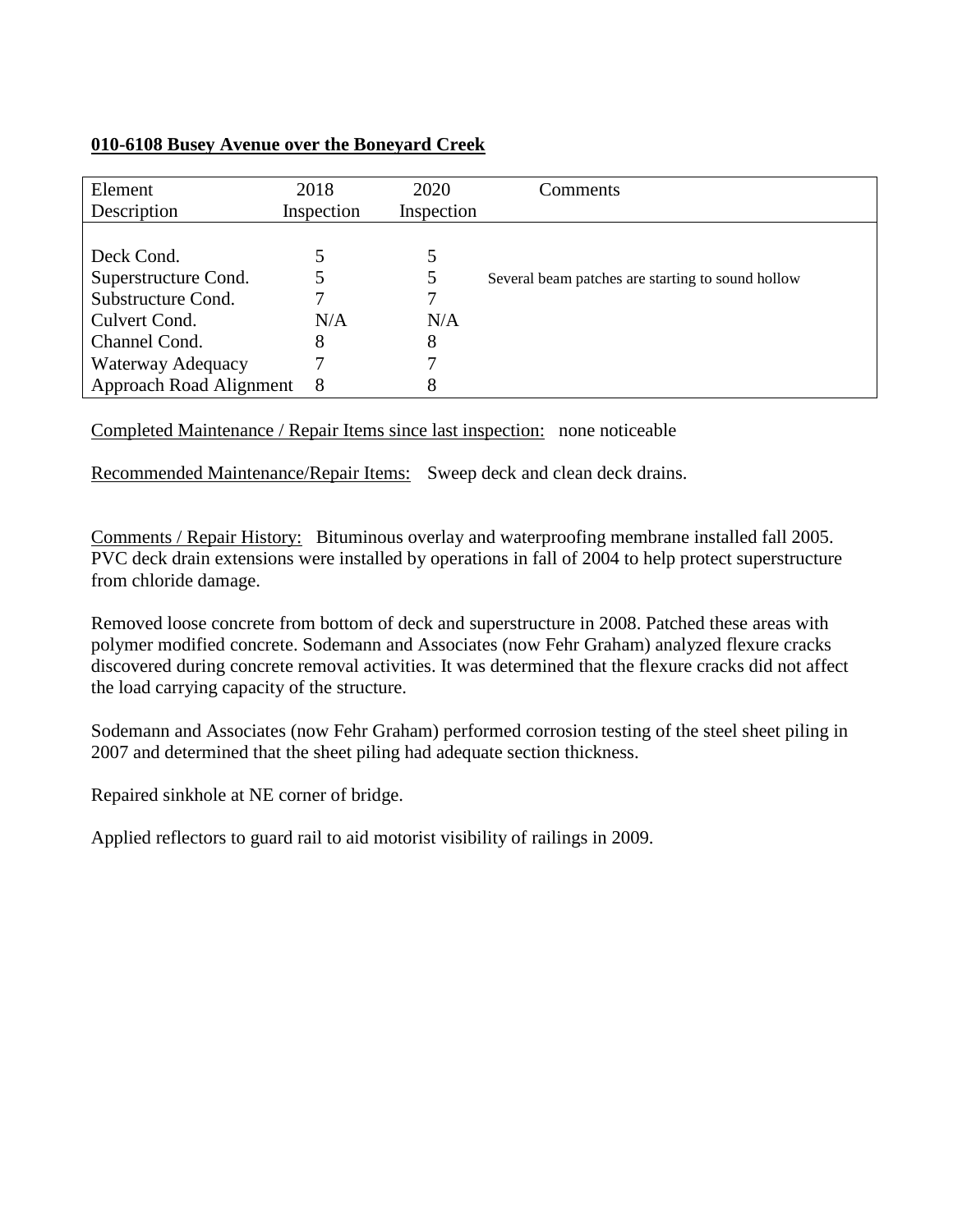#### **010-6108 Busey Avenue over the Boneyard Creek**

| Element<br>Description  | 2018<br>Inspection | 2020<br>Inspection | Comments                                          |
|-------------------------|--------------------|--------------------|---------------------------------------------------|
|                         |                    |                    |                                                   |
|                         |                    |                    |                                                   |
| Deck Cond.              |                    |                    |                                                   |
| Superstructure Cond.    |                    |                    | Several beam patches are starting to sound hollow |
| Substructure Cond.      |                    |                    |                                                   |
| Culvert Cond.           | N/A                | N/A                |                                                   |
| Channel Cond.           | 8                  | 8                  |                                                   |
| Waterway Adequacy       |                    |                    |                                                   |
| Approach Road Alignment | 8                  | 8                  |                                                   |

Completed Maintenance / Repair Items since last inspection: none noticeable

Recommended Maintenance/Repair Items: Sweep deck and clean deck drains.

Comments / Repair History: Bituminous overlay and waterproofing membrane installed fall 2005. PVC deck drain extensions were installed by operations in fall of 2004 to help protect superstructure from chloride damage.

Removed loose concrete from bottom of deck and superstructure in 2008. Patched these areas with polymer modified concrete. Sodemann and Associates (now Fehr Graham) analyzed flexure cracks discovered during concrete removal activities. It was determined that the flexure cracks did not affect the load carrying capacity of the structure.

Sodemann and Associates (now Fehr Graham) performed corrosion testing of the steel sheet piling in 2007 and determined that the sheet piling had adequate section thickness.

Repaired sinkhole at NE corner of bridge.

Applied reflectors to guard rail to aid motorist visibility of railings in 2009.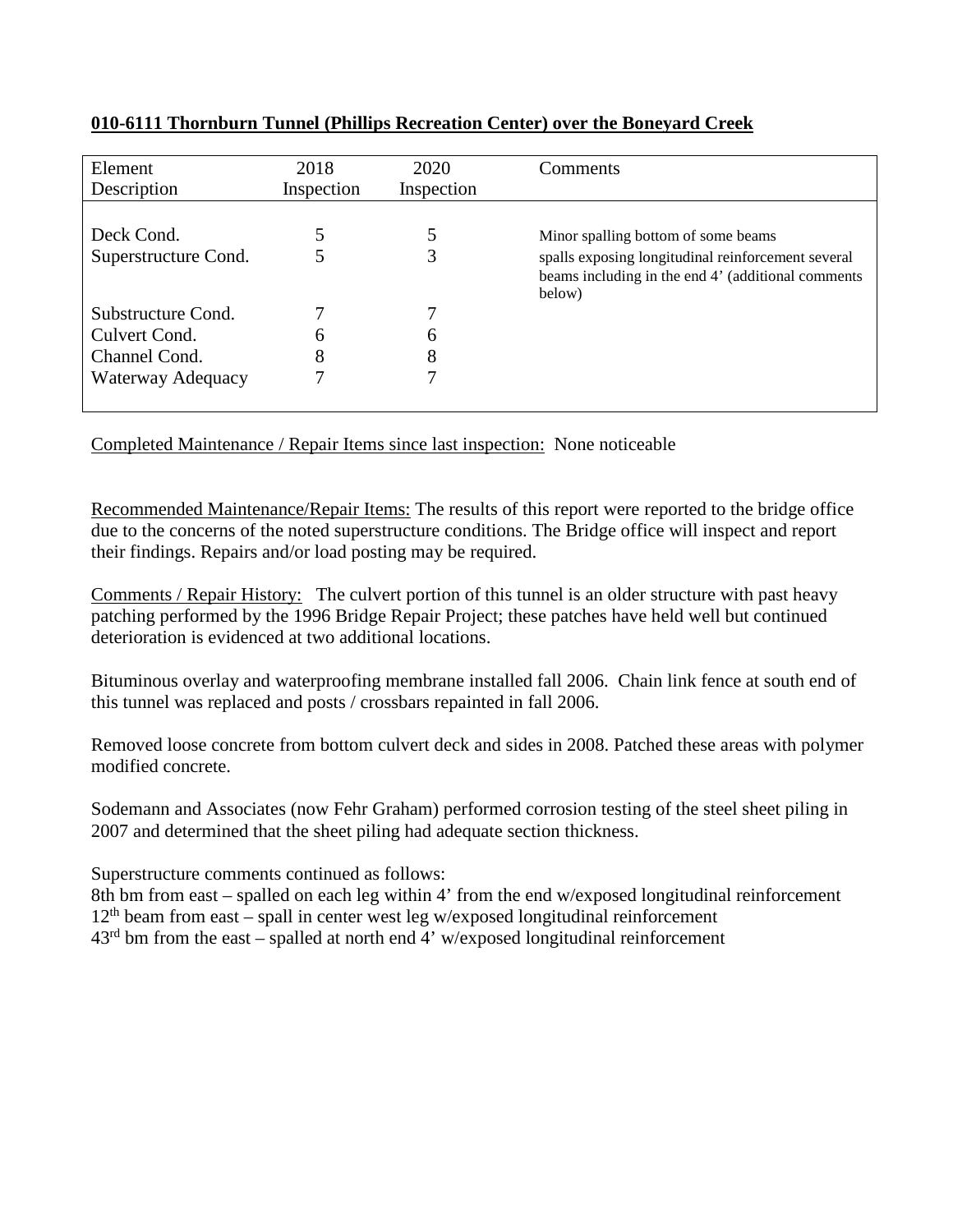| Element<br>Description             | 2018<br>Inspection | 2020<br>Inspection | Comments                                                                                                                                                  |
|------------------------------------|--------------------|--------------------|-----------------------------------------------------------------------------------------------------------------------------------------------------------|
| Deck Cond.<br>Superstructure Cond. |                    | 3                  | Minor spalling bottom of some beams<br>spalls exposing longitudinal reinforcement several<br>beams including in the end 4' (additional comments<br>below) |
| Substructure Cond.                 |                    |                    |                                                                                                                                                           |
| Culvert Cond.                      | h                  | 6                  |                                                                                                                                                           |
| Channel Cond.                      | 8                  | 8                  |                                                                                                                                                           |
| Waterway Adequacy                  |                    | 7                  |                                                                                                                                                           |

## **010-6111 Thornburn Tunnel (Phillips Recreation Center) over the Boneyard Creek**

Completed Maintenance / Repair Items since last inspection: None noticeable

Recommended Maintenance/Repair Items: The results of this report were reported to the bridge office due to the concerns of the noted superstructure conditions. The Bridge office will inspect and report their findings. Repairs and/or load posting may be required.

Comments / Repair History: The culvert portion of this tunnel is an older structure with past heavy patching performed by the 1996 Bridge Repair Project; these patches have held well but continued deterioration is evidenced at two additional locations.

Bituminous overlay and waterproofing membrane installed fall 2006. Chain link fence at south end of this tunnel was replaced and posts / crossbars repainted in fall 2006.

Removed loose concrete from bottom culvert deck and sides in 2008. Patched these areas with polymer modified concrete.

Sodemann and Associates (now Fehr Graham) performed corrosion testing of the steel sheet piling in 2007 and determined that the sheet piling had adequate section thickness.

Superstructure comments continued as follows:

8th bm from east – spalled on each leg within 4' from the end w/exposed longitudinal reinforcement  $12<sup>th</sup>$  beam from east – spall in center west leg w/exposed longitudinal reinforcement  $43<sup>rd</sup>$  bm from the east – spalled at north end  $\frac{3}{4}$  w/exposed longitudinal reinforcement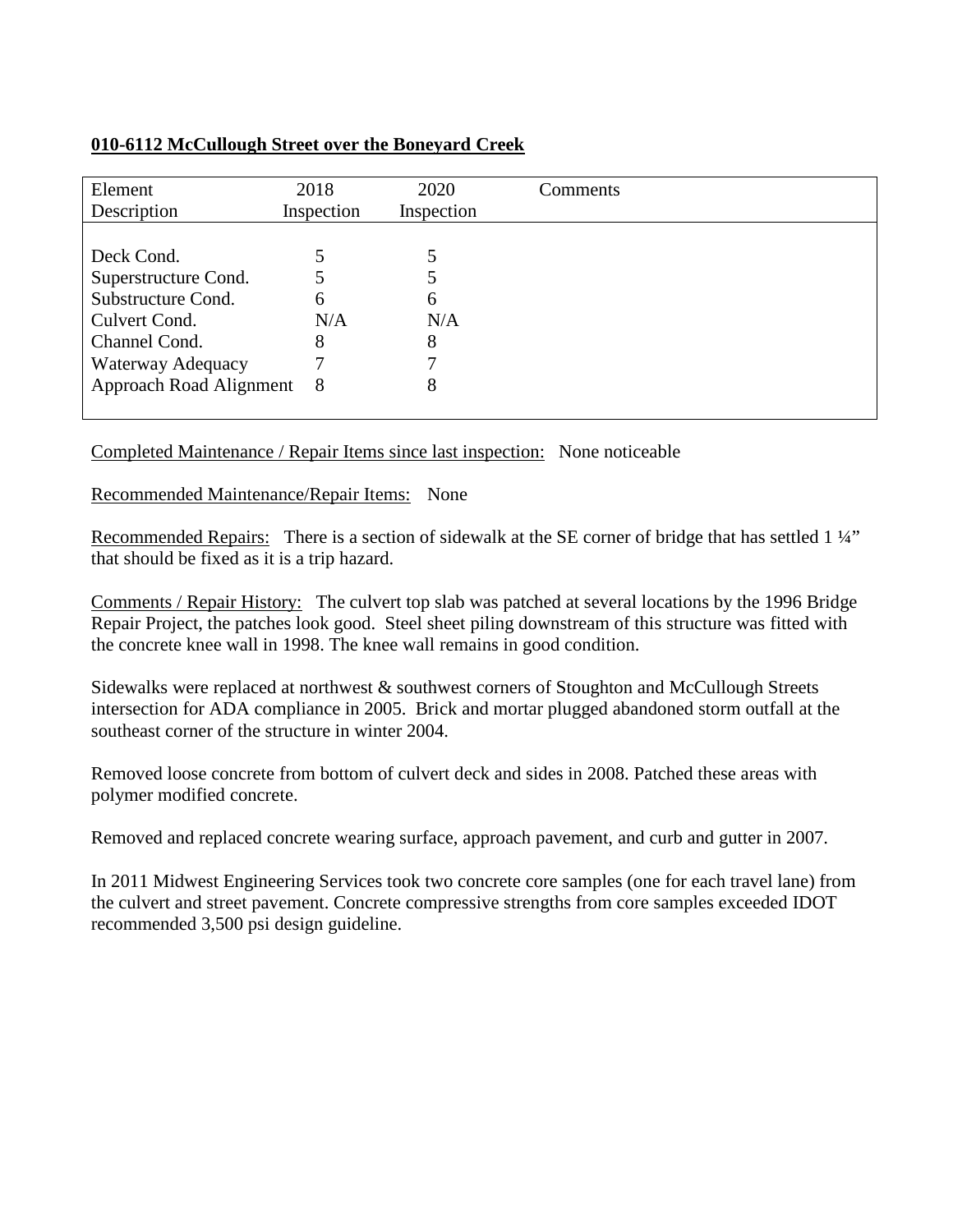## **010-6112 McCullough Street over the Boneyard Creek**

| Element<br>Description    | 2018<br>Inspection | 2020<br>Inspection | Comments |
|---------------------------|--------------------|--------------------|----------|
|                           |                    |                    |          |
| Deck Cond.                |                    |                    |          |
| Superstructure Cond.      |                    |                    |          |
| Substructure Cond.        | 6                  | 6                  |          |
| Culvert Cond.             | N/A                | N/A                |          |
| Channel Cond.             | 8                  | 8                  |          |
| Waterway Adequacy         |                    |                    |          |
| Approach Road Alignment 8 |                    | 8                  |          |
|                           |                    |                    |          |

Completed Maintenance / Repair Items since last inspection: None noticeable

## Recommended Maintenance/Repair Items: None

Recommended Repairs: There is a section of sidewalk at the SE corner of bridge that has settled 1 1/4" that should be fixed as it is a trip hazard.

Comments / Repair History: The culvert top slab was patched at several locations by the 1996 Bridge Repair Project, the patches look good. Steel sheet piling downstream of this structure was fitted with the concrete knee wall in 1998. The knee wall remains in good condition.

Sidewalks were replaced at northwest & southwest corners of Stoughton and McCullough Streets intersection for ADA compliance in 2005. Brick and mortar plugged abandoned storm outfall at the southeast corner of the structure in winter 2004.

Removed loose concrete from bottom of culvert deck and sides in 2008. Patched these areas with polymer modified concrete.

Removed and replaced concrete wearing surface, approach pavement, and curb and gutter in 2007.

In 2011 Midwest Engineering Services took two concrete core samples (one for each travel lane) from the culvert and street pavement. Concrete compressive strengths from core samples exceeded IDOT recommended 3,500 psi design guideline.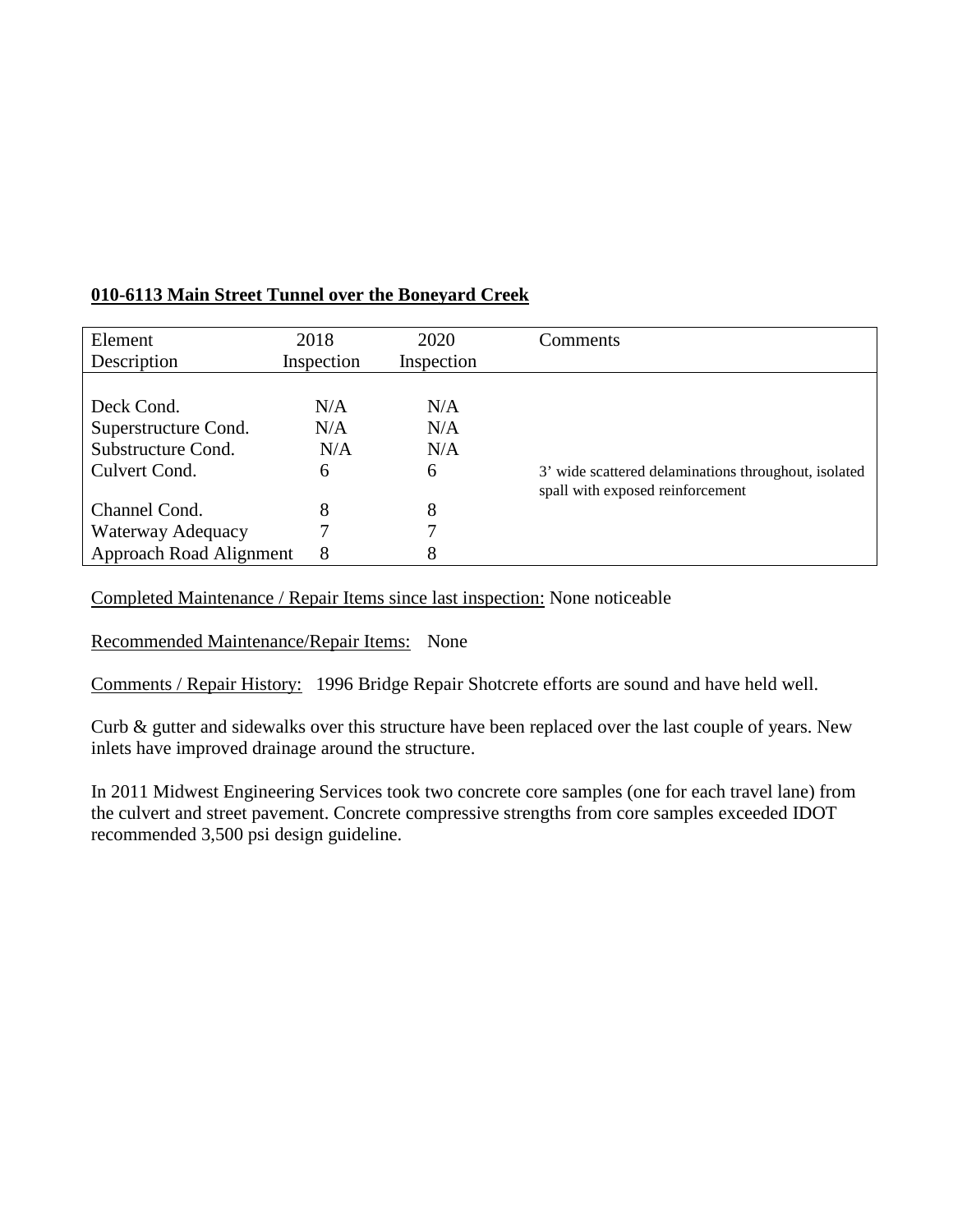| Element                 | 2018       | 2020       | Comments                                             |
|-------------------------|------------|------------|------------------------------------------------------|
| Description             | Inspection | Inspection |                                                      |
|                         |            |            |                                                      |
| Deck Cond.              | N/A        | N/A        |                                                      |
| Superstructure Cond.    | N/A        | N/A        |                                                      |
| Substructure Cond.      | N/A        | N/A        |                                                      |
| Culvert Cond.           | 6          | 6          | 3' wide scattered delaminations throughout, isolated |
|                         |            |            | spall with exposed reinforcement                     |
| Channel Cond.           | 8          | 8          |                                                      |
| Waterway Adequacy       | 7          |            |                                                      |
| Approach Road Alignment | 8          | 8          |                                                      |

## **010-6113 Main Street Tunnel over the Boneyard Creek**

Completed Maintenance / Repair Items since last inspection: None noticeable

Recommended Maintenance/Repair Items: None

Comments / Repair History: 1996 Bridge Repair Shotcrete efforts are sound and have held well.

Curb & gutter and sidewalks over this structure have been replaced over the last couple of years. New inlets have improved drainage around the structure.

In 2011 Midwest Engineering Services took two concrete core samples (one for each travel lane) from the culvert and street pavement. Concrete compressive strengths from core samples exceeded IDOT recommended 3,500 psi design guideline.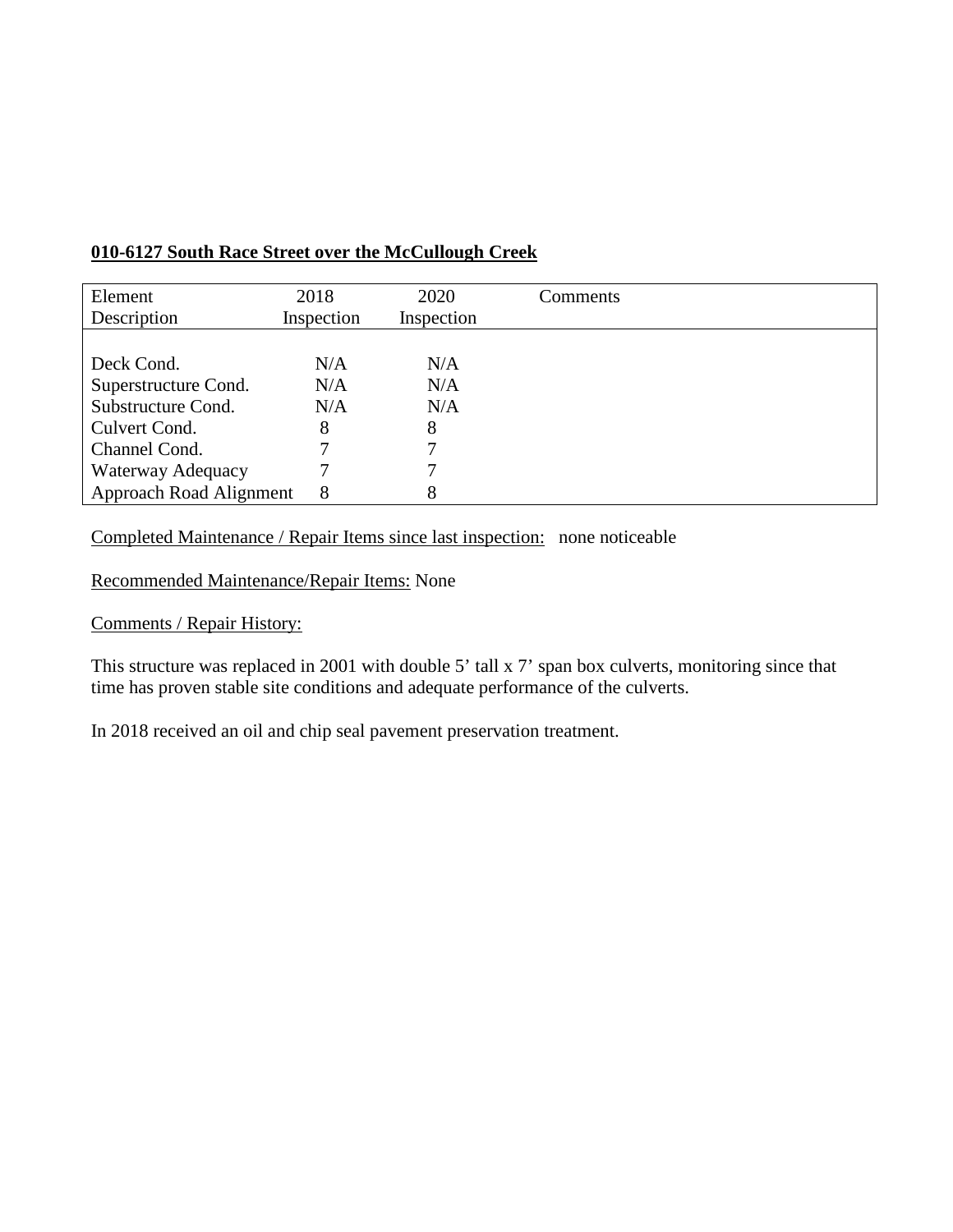| Element                 | 2018       | 2020       | Comments |
|-------------------------|------------|------------|----------|
| Description             | Inspection | Inspection |          |
|                         |            |            |          |
| Deck Cond.              | N/A        | N/A        |          |
| Superstructure Cond.    | N/A        | N/A        |          |
| Substructure Cond.      | N/A        | N/A        |          |
| Culvert Cond.           | 8          | 8          |          |
| Channel Cond.           | 7          |            |          |
| Waterway Adequacy       |            |            |          |
| Approach Road Alignment | 8          |            |          |

## **010-6127 South Race Street over the McCullough Creek**

Completed Maintenance / Repair Items since last inspection: none noticeable

Recommended Maintenance/Repair Items: None

Comments / Repair History:

This structure was replaced in 2001 with double 5' tall x 7' span box culverts, monitoring since that time has proven stable site conditions and adequate performance of the culverts.

In 2018 received an oil and chip seal pavement preservation treatment.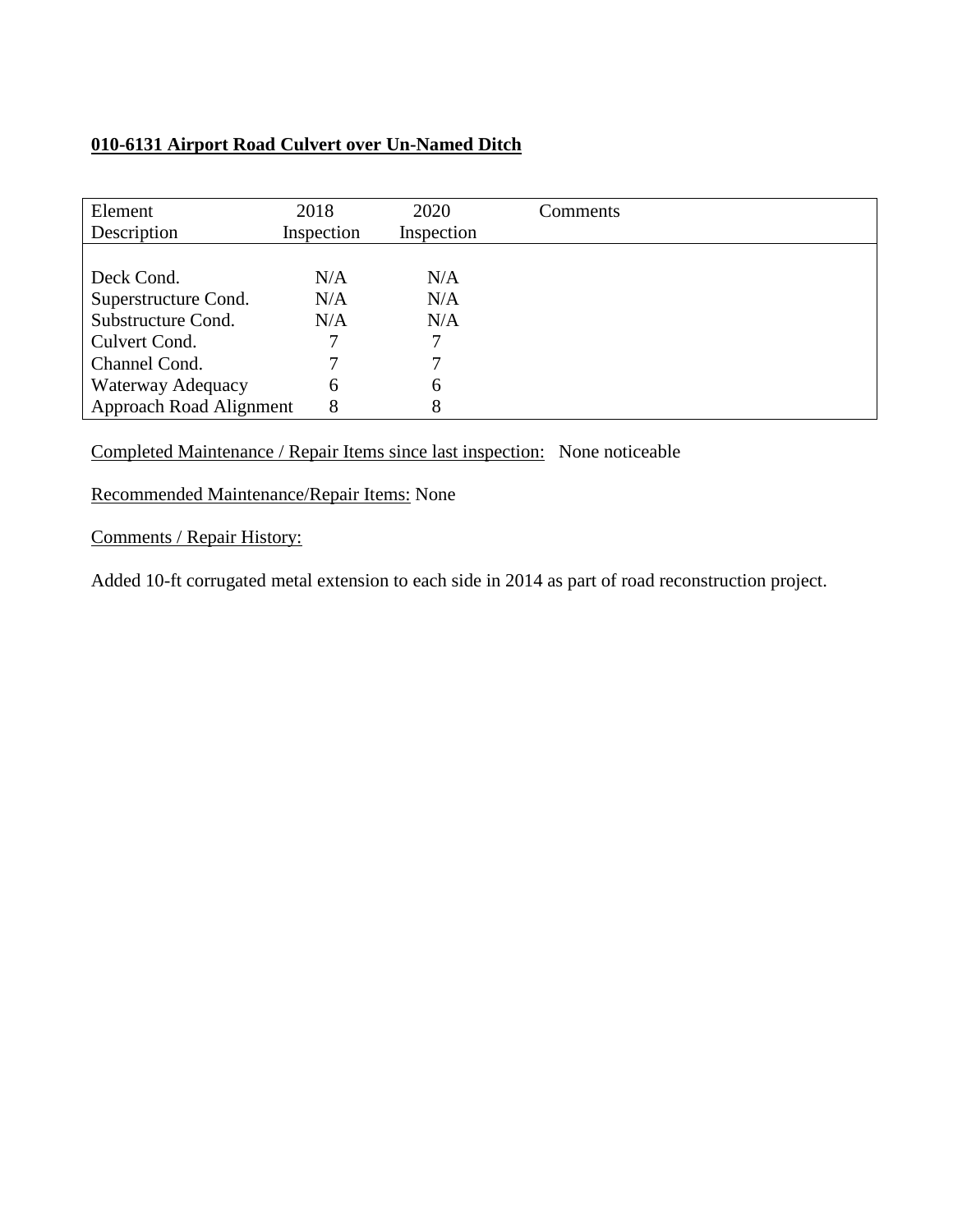## **010-6131 Airport Road Culvert over Un-Named Ditch**

| Element<br>Description  | 2018<br>Inspection | 2020<br>Inspection | Comments |
|-------------------------|--------------------|--------------------|----------|
|                         |                    |                    |          |
| Deck Cond.              | N/A                | N/A                |          |
| Superstructure Cond.    | N/A                | N/A                |          |
| Substructure Cond.      | N/A                | N/A                |          |
| Culvert Cond.           |                    |                    |          |
| Channel Cond.           |                    |                    |          |
| Waterway Adequacy       | 6                  | 6                  |          |
| Approach Road Alignment | 8                  | 8                  |          |

Completed Maintenance / Repair Items since last inspection: None noticeable

Recommended Maintenance/Repair Items: None

Comments / Repair History:

Added 10-ft corrugated metal extension to each side in 2014 as part of road reconstruction project.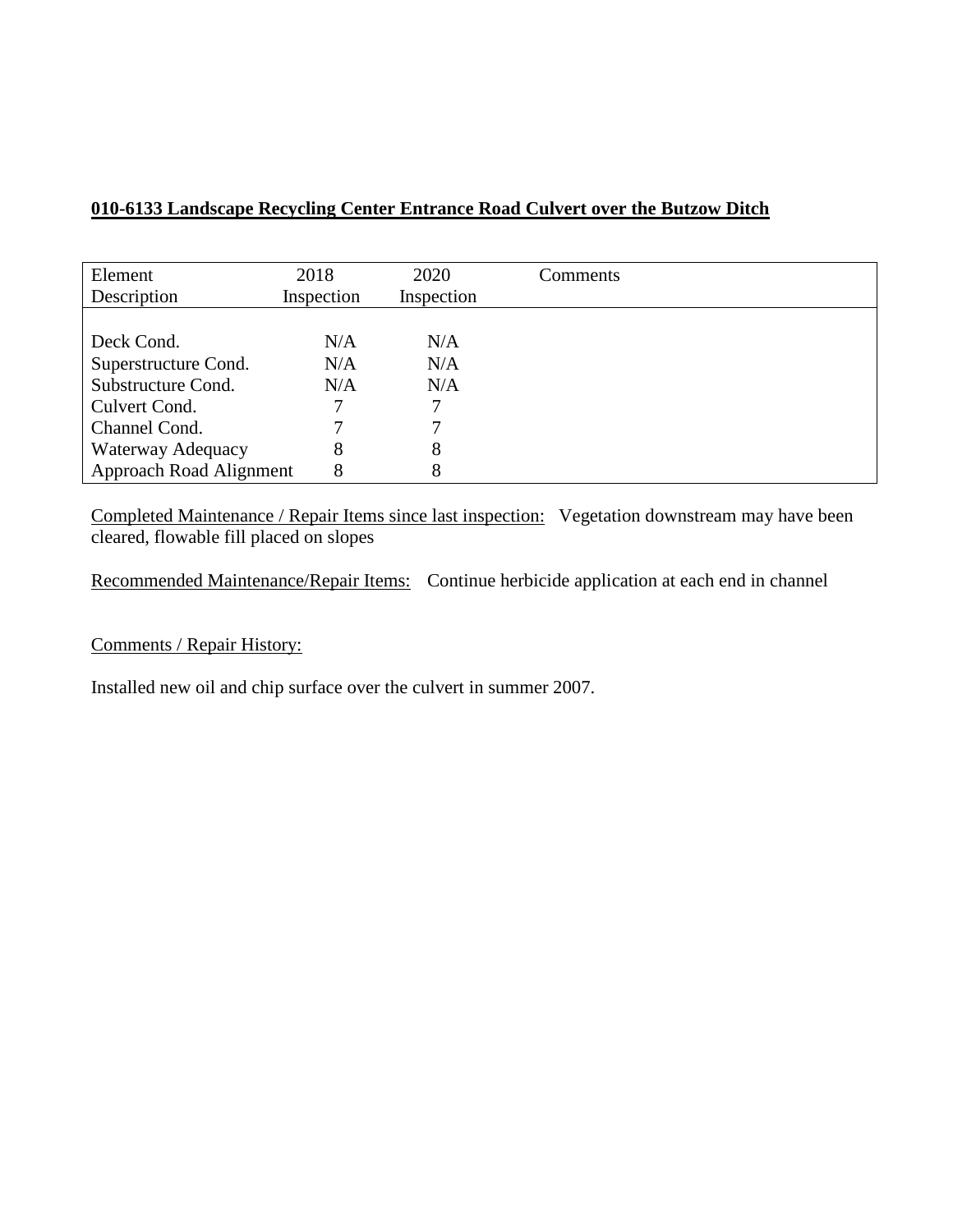## **010-6133 Landscape Recycling Center Entrance Road Culvert over the Butzow Ditch**

| Element                        | 2018       | 2020       | Comments |
|--------------------------------|------------|------------|----------|
| Description                    | Inspection | Inspection |          |
|                                |            |            |          |
| Deck Cond.                     | N/A        | N/A        |          |
| Superstructure Cond.           | N/A        | N/A        |          |
| Substructure Cond.             | N/A        | N/A        |          |
| Culvert Cond.                  | 7          |            |          |
| Channel Cond.                  |            |            |          |
| Waterway Adequacy              | 8          | 8          |          |
| <b>Approach Road Alignment</b> | 8          | 8          |          |

Completed Maintenance / Repair Items since last inspection: Vegetation downstream may have been cleared, flowable fill placed on slopes

Recommended Maintenance/Repair Items: Continue herbicide application at each end in channel

Comments / Repair History:

Installed new oil and chip surface over the culvert in summer 2007.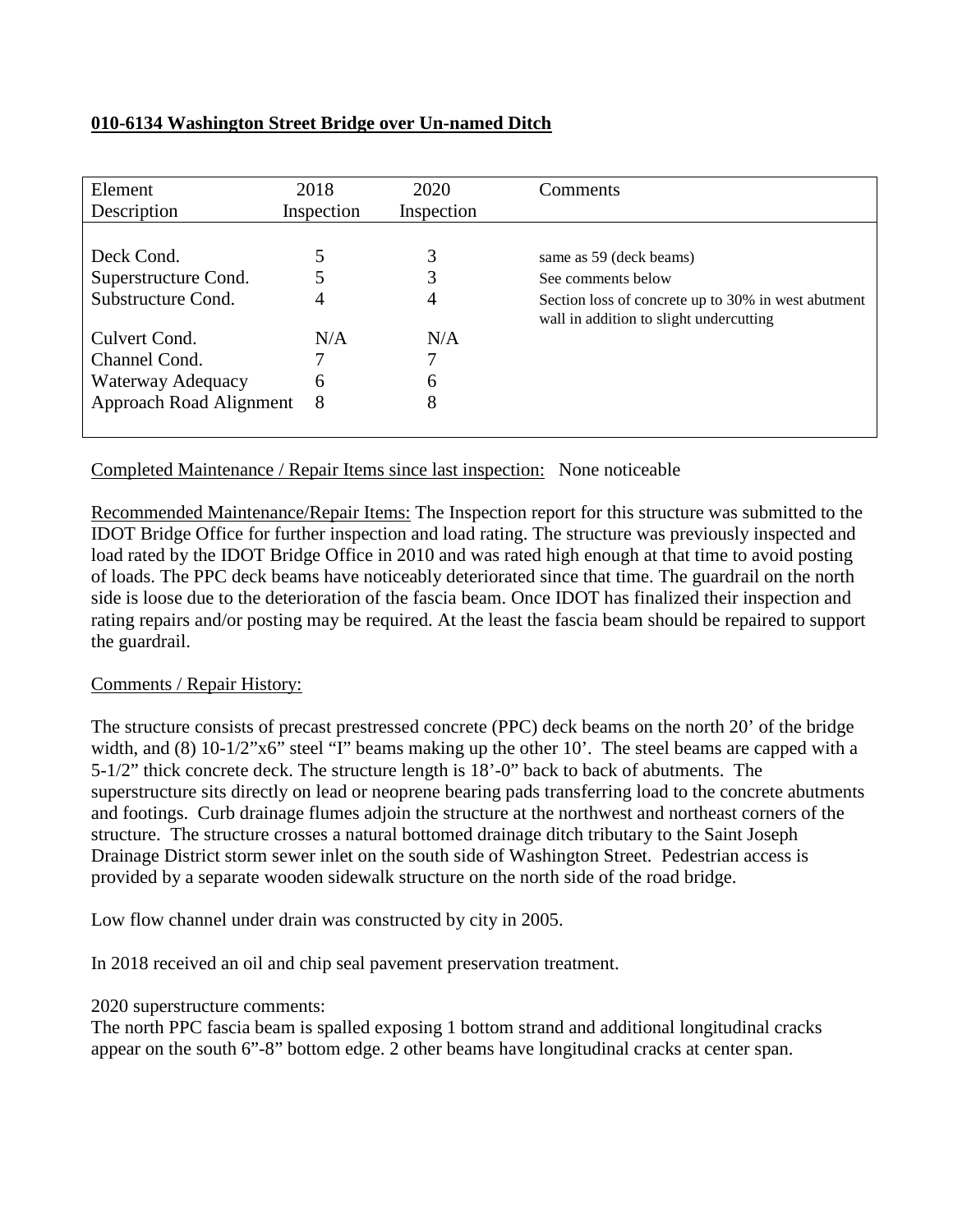## **010-6134 Washington Street Bridge over Un-named Ditch**

| Element<br>Description  | 2018<br>Inspection | 2020<br>Inspection | Comments                                                                                       |
|-------------------------|--------------------|--------------------|------------------------------------------------------------------------------------------------|
|                         |                    |                    |                                                                                                |
| Deck Cond.              |                    | 3                  | same as 59 (deck beams)                                                                        |
| Superstructure Cond.    |                    | 3                  | See comments below                                                                             |
| Substructure Cond.      | 4                  | 4                  | Section loss of concrete up to 30% in west abutment<br>wall in addition to slight undercutting |
| Culvert Cond.           | N/A                | N/A                |                                                                                                |
| Channel Cond.           |                    |                    |                                                                                                |
| Waterway Adequacy       | 6                  | 6                  |                                                                                                |
| Approach Road Alignment | 8                  | 8                  |                                                                                                |

Completed Maintenance / Repair Items since last inspection: None noticeable

Recommended Maintenance/Repair Items: The Inspection report for this structure was submitted to the IDOT Bridge Office for further inspection and load rating. The structure was previously inspected and load rated by the IDOT Bridge Office in 2010 and was rated high enough at that time to avoid posting of loads. The PPC deck beams have noticeably deteriorated since that time. The guardrail on the north side is loose due to the deterioration of the fascia beam. Once IDOT has finalized their inspection and rating repairs and/or posting may be required. At the least the fascia beam should be repaired to support the guardrail.

## Comments / Repair History:

The structure consists of precast prestressed concrete (PPC) deck beams on the north 20' of the bridge width, and  $(8)$  10-1/2"x6" steel "I" beams making up the other 10'. The steel beams are capped with a 5-1/2" thick concrete deck. The structure length is 18'-0" back to back of abutments. The superstructure sits directly on lead or neoprene bearing pads transferring load to the concrete abutments and footings. Curb drainage flumes adjoin the structure at the northwest and northeast corners of the structure. The structure crosses a natural bottomed drainage ditch tributary to the Saint Joseph Drainage District storm sewer inlet on the south side of Washington Street. Pedestrian access is provided by a separate wooden sidewalk structure on the north side of the road bridge.

Low flow channel under drain was constructed by city in 2005.

In 2018 received an oil and chip seal pavement preservation treatment.

## 2020 superstructure comments:

The north PPC fascia beam is spalled exposing 1 bottom strand and additional longitudinal cracks appear on the south 6"-8" bottom edge. 2 other beams have longitudinal cracks at center span.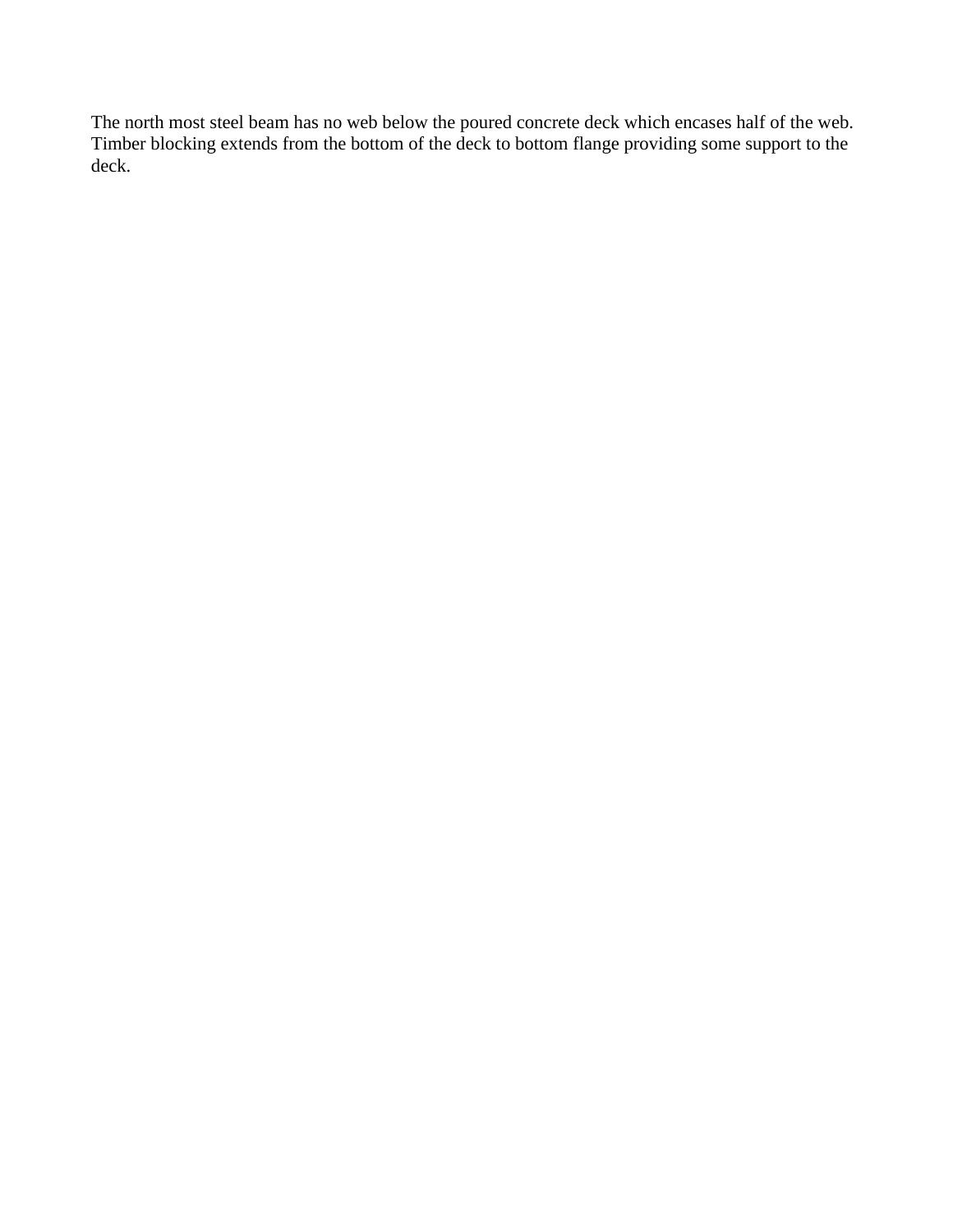The north most steel beam has no web below the poured concrete deck which encases half of the web. Timber blocking extends from the bottom of the deck to bottom flange providing some support to the deck.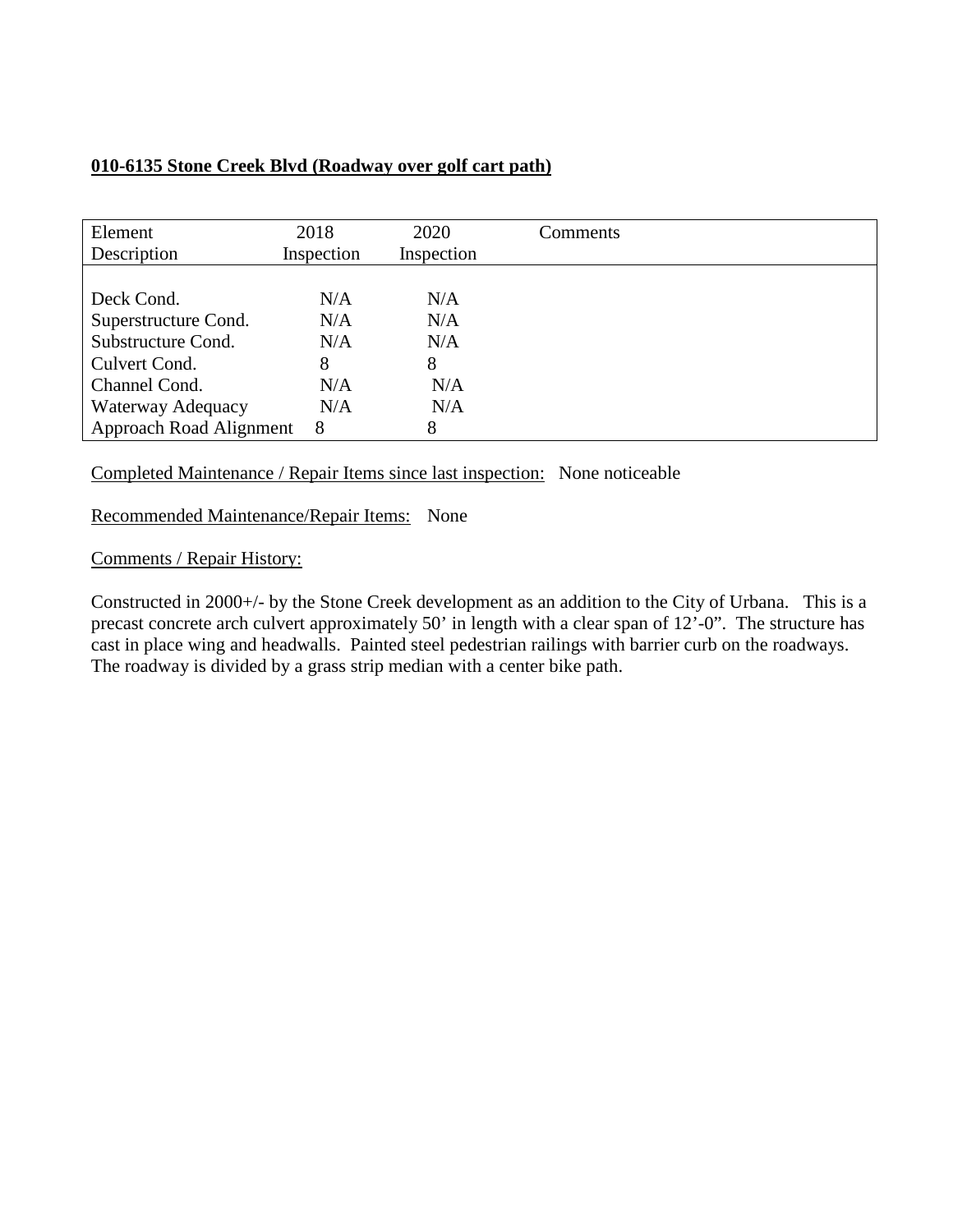## **010-6135 Stone Creek Blvd (Roadway over golf cart path)**

| Element<br>Description  | 2018<br>Inspection | 2020<br>Inspection | Comments |
|-------------------------|--------------------|--------------------|----------|
|                         |                    |                    |          |
| Deck Cond.              | N/A                | N/A                |          |
| Superstructure Cond.    | N/A                | N/A                |          |
| Substructure Cond.      | N/A                | N/A                |          |
| Culvert Cond.           | 8                  | 8                  |          |
| Channel Cond.           | N/A                | N/A                |          |
| Waterway Adequacy       | N/A                | N/A                |          |
| Approach Road Alignment | 8                  | 8                  |          |

Completed Maintenance / Repair Items since last inspection: None noticeable

Recommended Maintenance/Repair Items: None

Comments / Repair History:

Constructed in 2000+/- by the Stone Creek development as an addition to the City of Urbana. This is a precast concrete arch culvert approximately 50' in length with a clear span of 12'-0". The structure has cast in place wing and headwalls. Painted steel pedestrian railings with barrier curb on the roadways. The roadway is divided by a grass strip median with a center bike path.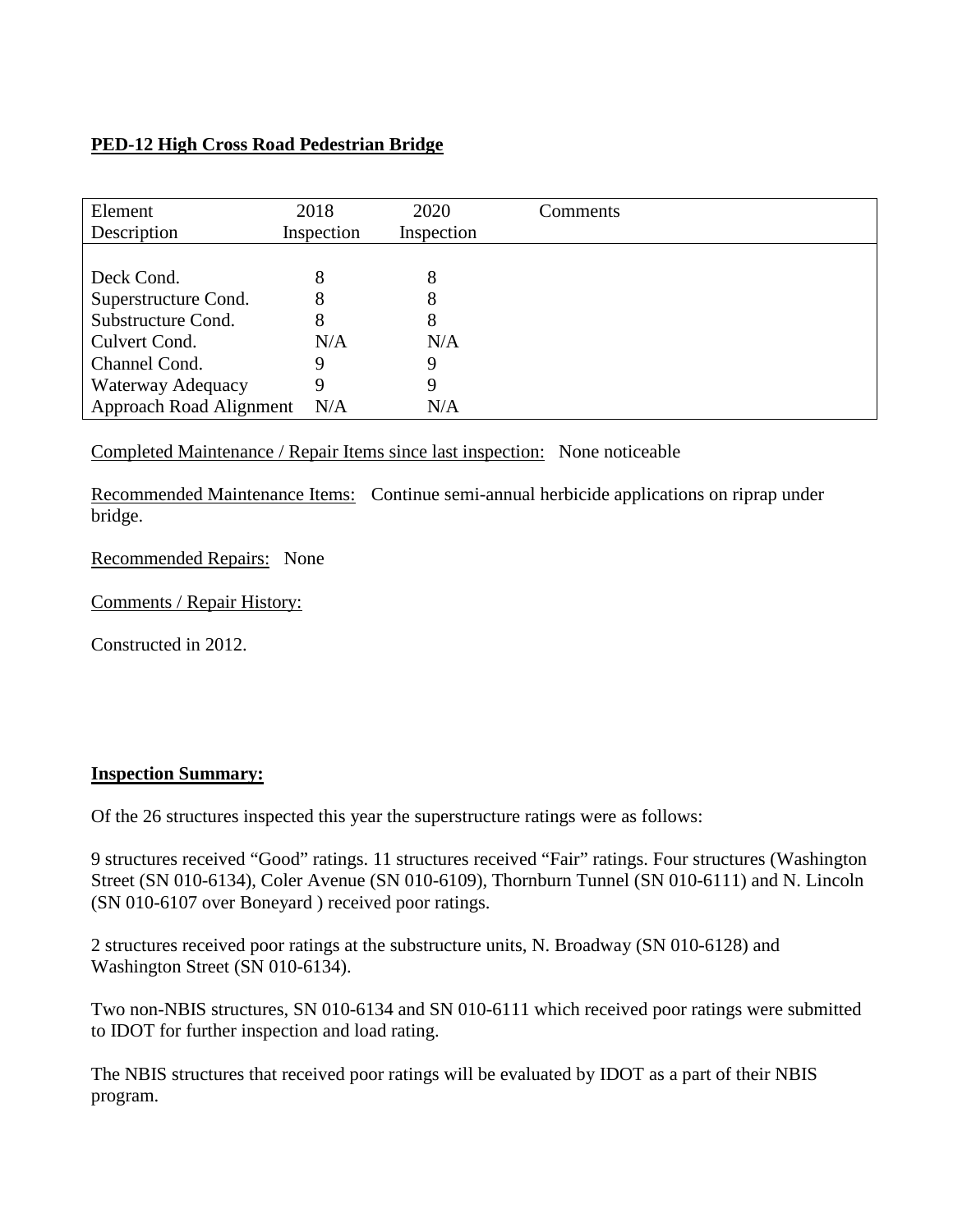## **PED-12 High Cross Road Pedestrian Bridge**

| Element<br>Description  | 2018<br>Inspection | 2020<br>Inspection | Comments |
|-------------------------|--------------------|--------------------|----------|
|                         |                    |                    |          |
| Deck Cond.              | 8                  | 8                  |          |
| Superstructure Cond.    | 8                  | 8                  |          |
| Substructure Cond.      | 8                  | 8                  |          |
| Culvert Cond.           | N/A                | N/A                |          |
| Channel Cond.           | Q                  | 9                  |          |
| Waterway Adequacy       | 9                  | 9                  |          |
| Approach Road Alignment | N/A                | N/A                |          |

Completed Maintenance / Repair Items since last inspection: None noticeable

Recommended Maintenance Items: Continue semi-annual herbicide applications on riprap under bridge.

Recommended Repairs: None

Comments / Repair History:

Constructed in 2012.

## **Inspection Summary:**

Of the 26 structures inspected this year the superstructure ratings were as follows:

9 structures received "Good" ratings. 11 structures received "Fair" ratings. Four structures (Washington Street (SN 010-6134), Coler Avenue (SN 010-6109), Thornburn Tunnel (SN 010-6111) and N. Lincoln (SN 010-6107 over Boneyard ) received poor ratings.

2 structures received poor ratings at the substructure units, N. Broadway (SN 010-6128) and Washington Street (SN 010-6134).

Two non-NBIS structures, SN 010-6134 and SN 010-6111 which received poor ratings were submitted to IDOT for further inspection and load rating.

The NBIS structures that received poor ratings will be evaluated by IDOT as a part of their NBIS program.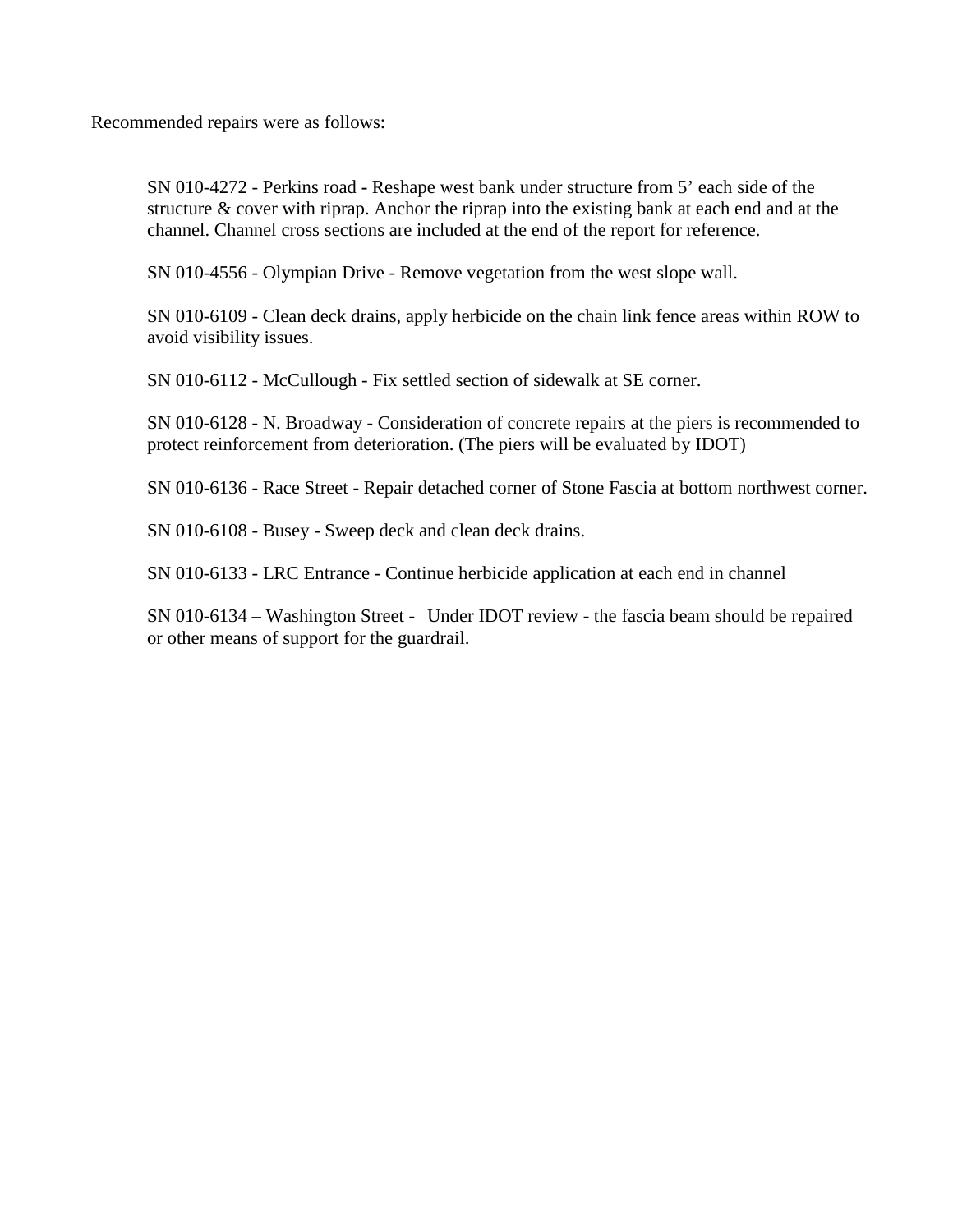Recommended repairs were as follows:

SN 010-4272 - Perkins road **-** Reshape west bank under structure from 5' each side of the structure & cover with riprap. Anchor the riprap into the existing bank at each end and at the channel. Channel cross sections are included at the end of the report for reference.

SN 010-4556 - Olympian Drive - Remove vegetation from the west slope wall.

SN 010-6109 - Clean deck drains, apply herbicide on the chain link fence areas within ROW to avoid visibility issues.

SN 010-6112 - McCullough - Fix settled section of sidewalk at SE corner.

SN 010-6128 - N. Broadway - Consideration of concrete repairs at the piers is recommended to protect reinforcement from deterioration. (The piers will be evaluated by IDOT)

SN 010-6136 - Race Street - Repair detached corner of Stone Fascia at bottom northwest corner.

SN 010-6108 - Busey - Sweep deck and clean deck drains.

SN 010-6133 - LRC Entrance - Continue herbicide application at each end in channel

SN 010-6134 – Washington Street - Under IDOT review - the fascia beam should be repaired or other means of support for the guardrail.